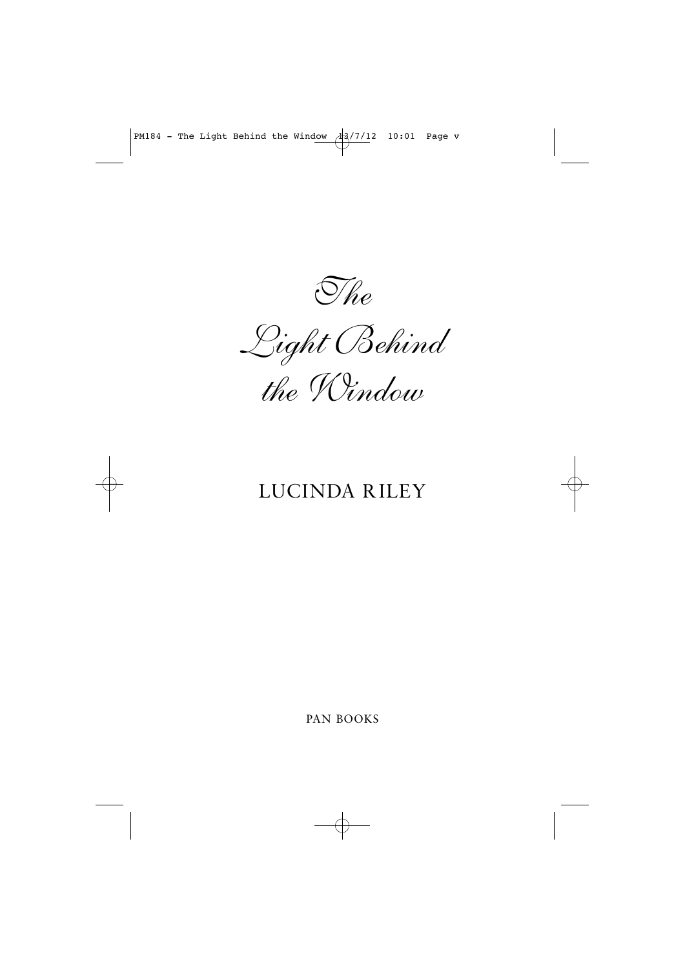

*Light Behind*

*the Window*

# LUCINDA RILEY

PAN BOOKS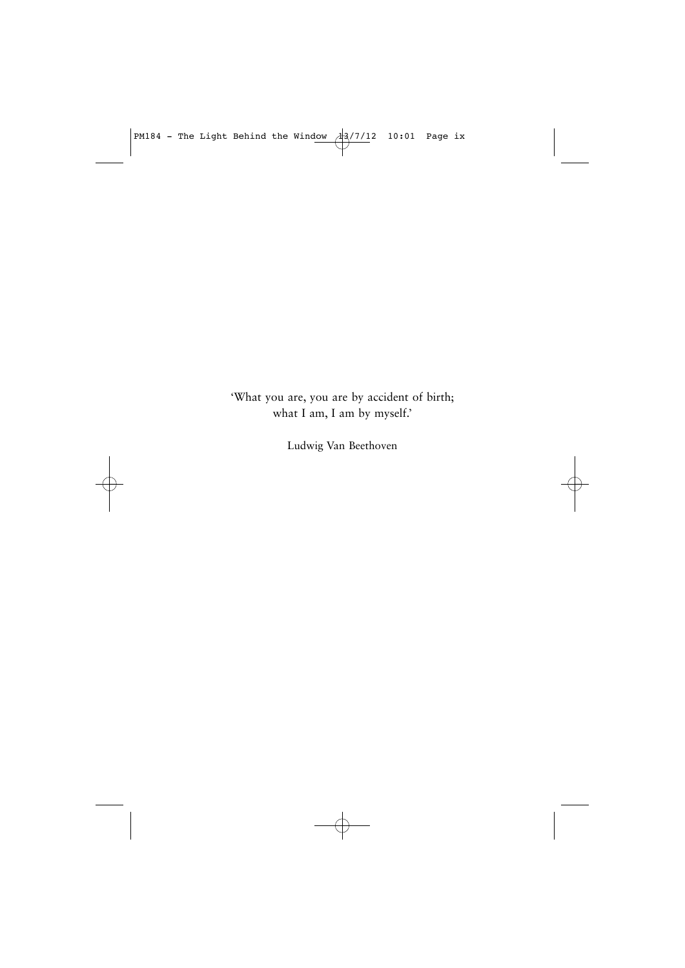### 'What you are, you are by accident of birth; what I am, I am by myself.'

Ludwig Van Beethoven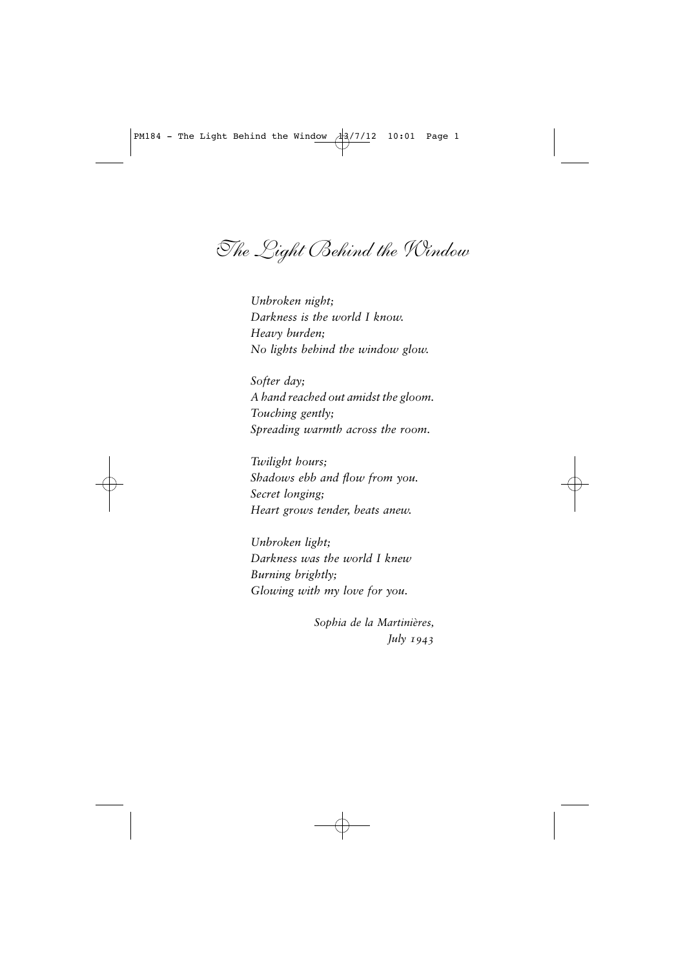*The Light Behind the Window*

*Unbroken night; Darkness is the world I know. Heavy burden; No lights behind the window glow.*

*Softer day; A hand reached out amidst the gloom. Touching gently; Spreading warmth across the room.*

*Twilight hours; Shadows ebb and flow from you. Secret longing; Heart grows tender, beats anew.*

*Unbroken light; Darkness was the world I knew Burning brightly; Glowing with my love for you.*

> *Sophia de la Martinières, July 1943*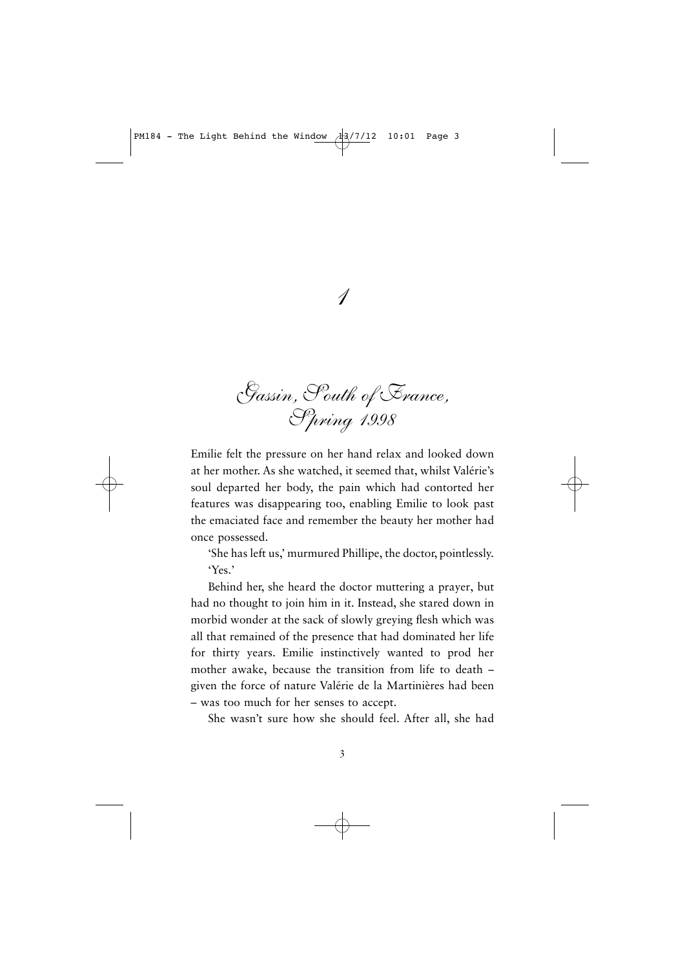*1*

*Gassin, South of France, Spring 1998*

Emilie felt the pressure on her hand relax and looked down at her mother. As she watched, it seemed that, whilst Valérie's soul departed her body, the pain which had contorted her features was disappearing too, enabling Emilie to look past the emaciated face and remember the beauty her mother had once possessed.

'She has left us,' murmured Phillipe, the doctor, pointlessly. 'Yes.'

Behind her, she heard the doctor muttering a prayer, but had no thought to join him in it. Instead, she stared down in morbid wonder at the sack of slowly greying flesh which was all that remained of the presence that had dominated her life for thirty years. Emilie instinctively wanted to prod her mother awake, because the transition from life to death – given the force of nature Valérie de la Martinières had been – was too much for her senses to accept.

She wasn't sure how she should feel. After all, she had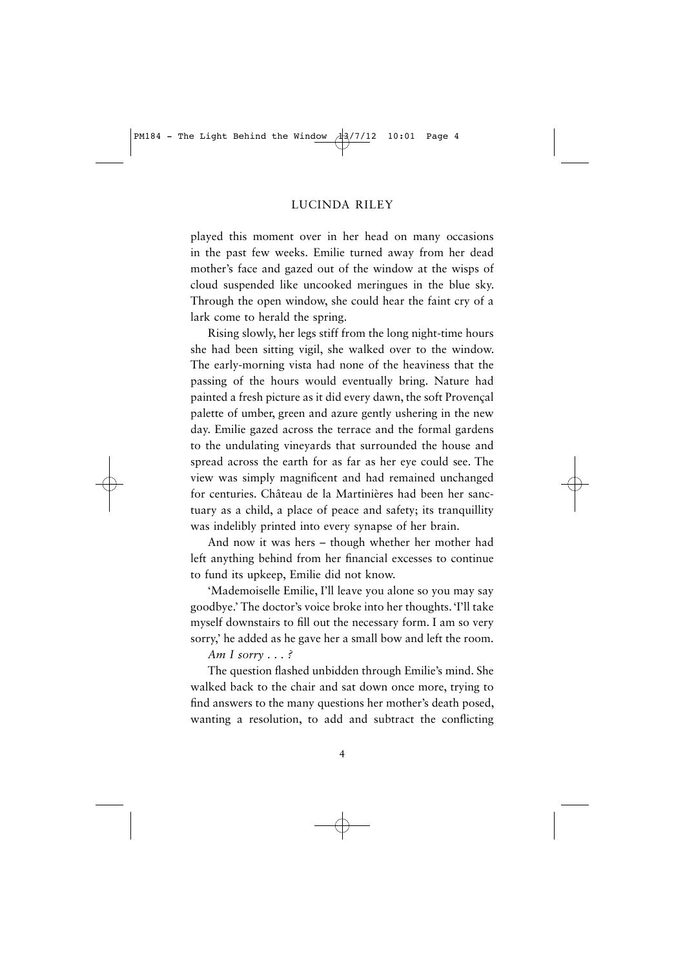#### LUCINDA RILEY

played this moment over in her head on many occasions in the past few weeks. Emilie turned away from her dead mother's face and gazed out of the window at the wisps of cloud suspended like uncooked meringues in the blue sky. Through the open window, she could hear the faint cry of a lark come to herald the spring.

Rising slowly, her legs stiff from the long night-time hours she had been sitting vigil, she walked over to the window. The early-morning vista had none of the heaviness that the passing of the hours would eventually bring. Nature had painted a fresh picture as it did every dawn, the soft Provençal palette of umber, green and azure gently ushering in the new day. Emilie gazed across the terrace and the formal gardens to the undulating vineyards that surrounded the house and spread across the earth for as far as her eye could see. The view was simply magnificent and had remained unchanged for centuries. Château de la Martinières had been her sanctuary as a child, a place of peace and safety; its tranquillity was indelibly printed into every synapse of her brain.

And now it was hers – though whether her mother had left anything behind from her financial excesses to continue to fund its upkeep, Emilie did not know.

'Mademoiselle Emilie, I'll leave you alone so you may say goodbye.' The doctor's voice broke into her thoughts. 'I'll take myself downstairs to fill out the necessary form. I am so very sorry,' he added as he gave her a small bow and left the room.

*Am I sorry . . . ?*

The question flashed unbidden through Emilie's mind. She walked back to the chair and sat down once more, trying to find answers to the many questions her mother's death posed, wanting a resolution, to add and subtract the conflicting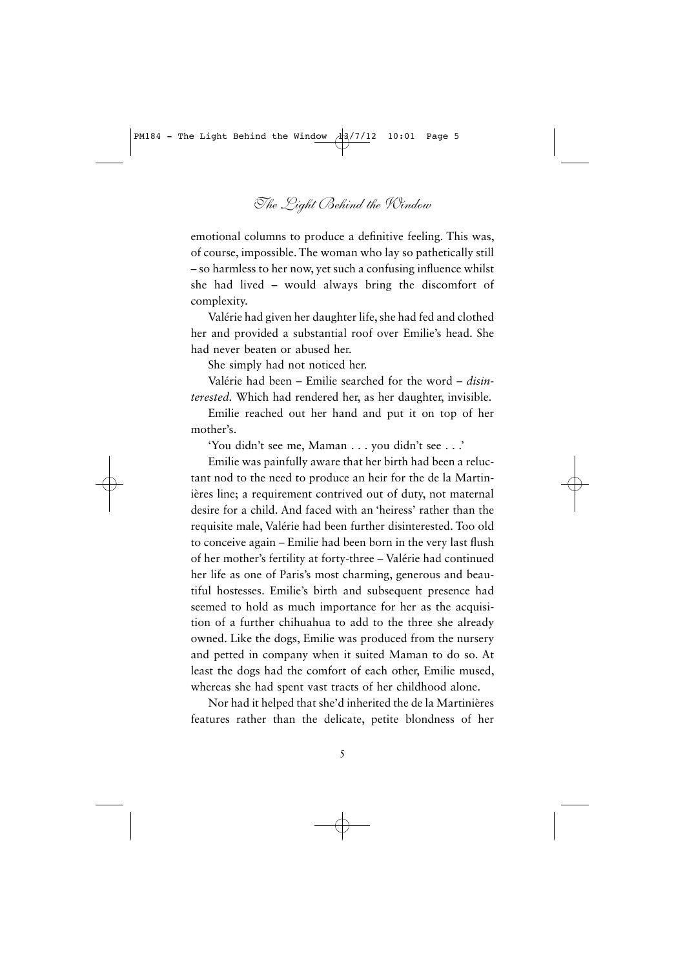emotional columns to produce a definitive feeling. This was, of course, impossible. The woman who lay so pathetically still – so harmless to her now, yet such a confusing influence whilst she had lived – would always bring the discomfort of complexity.

Valérie had given her daughter life, she had fed and clothed her and provided a substantial roof over Emilie's head. She had never beaten or abused her.

She simply had not noticed her.

Valérie had been – Emilie searched for the word – *disinterested.* Which had rendered her, as her daughter, invisible.

Emilie reached out her hand and put it on top of her mother's.

'You didn't see me, Maman . . . you didn't see . . .'

Emilie was painfully aware that her birth had been a reluctant nod to the need to produce an heir for the de la Martinières line; a requirement contrived out of duty, not maternal desire for a child. And faced with an 'heiress' rather than the requisite male, Valérie had been further disinterested. Too old to conceive again – Emilie had been born in the very last flush of her mother's fertility at forty-three – Valérie had continued her life as one of Paris's most charming, generous and beautiful hostesses. Emilie's birth and subsequent presence had seemed to hold as much importance for her as the acquisition of a further chihuahua to add to the three she already owned. Like the dogs, Emilie was produced from the nursery and petted in company when it suited Maman to do so. At least the dogs had the comfort of each other, Emilie mused, whereas she had spent vast tracts of her childhood alone.

Nor had it helped that she'd inherited the de la Martinières features rather than the delicate, petite blondness of her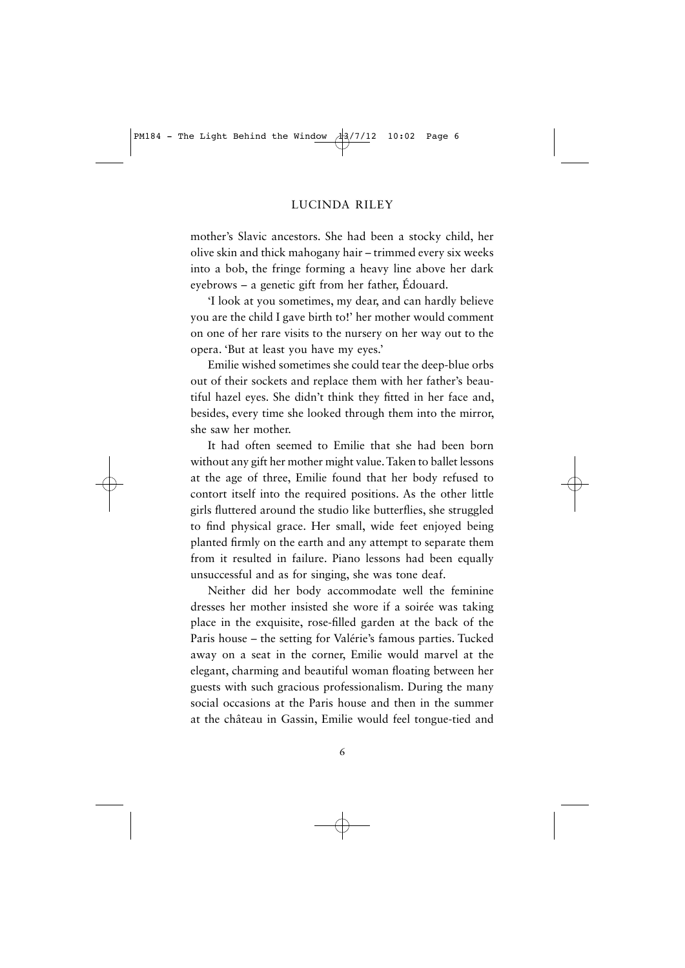mother's Slavic ancestors. She had been a stocky child, her olive skin and thick mahogany hair – trimmed every six weeks into a bob, the fringe forming a heavy line above her dark eyebrows – a genetic gift from her father, Édouard.

'I look at you sometimes, my dear, and can hardly believe you are the child I gave birth to!' her mother would comment on one of her rare visits to the nursery on her way out to the opera. 'But at least you have my eyes.'

Emilie wished sometimes she could tear the deep-blue orbs out of their sockets and replace them with her father's beautiful hazel eyes. She didn't think they fitted in her face and, besides, every time she looked through them into the mirror, she saw her mother.

It had often seemed to Emilie that she had been born without any gift her mother might value. Taken to ballet lessons at the age of three, Emilie found that her body refused to contort itself into the required positions. As the other little girls fluttered around the studio like butterflies, she struggled to find physical grace. Her small, wide feet enjoyed being planted firmly on the earth and any attempt to separate them from it resulted in failure. Piano lessons had been equally unsuccessful and as for singing, she was tone deaf.

Neither did her body accommodate well the feminine dresses her mother insisted she wore if a soirée was taking place in the exquisite, rose-filled garden at the back of the Paris house – the setting for Valérie's famous parties. Tucked away on a seat in the corner, Emilie would marvel at the elegant, charming and beautiful woman floating between her guests with such gracious professionalism. During the many social occasions at the Paris house and then in the summer at the château in Gassin, Emilie would feel tongue-tied and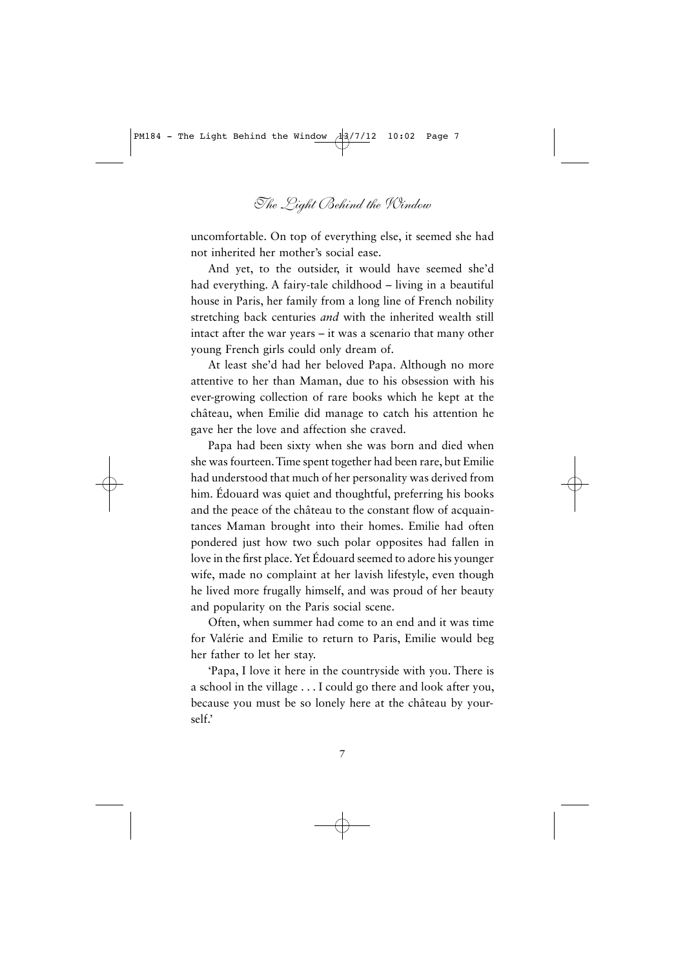uncomfortable. On top of everything else, it seemed she had not inherited her mother's social ease.

And yet, to the outsider, it would have seemed she'd had everything. A fairy-tale childhood – living in a beautiful house in Paris, her family from a long line of French nobility stretching back centuries *and* with the inherited wealth still intact after the war years – it was a scenario that many other young French girls could only dream of.

At least she'd had her beloved Papa. Although no more attentive to her than Maman, due to his obsession with his ever-growing collection of rare books which he kept at the château, when Emilie did manage to catch his attention he gave her the love and affection she craved.

Papa had been sixty when she was born and died when she was fourteen. Time spent together had been rare, but Emilie had understood that much of her personality was derived from him. Édouard was quiet and thoughtful, preferring his books and the peace of the château to the constant flow of acquaintances Maman brought into their homes. Emilie had often pondered just how two such polar opposites had fallen in love in the first place. Yet Édouard seemed to adore his younger wife, made no complaint at her lavish lifestyle, even though he lived more frugally himself, and was proud of her beauty and popularity on the Paris social scene.

Often, when summer had come to an end and it was time for Valérie and Emilie to return to Paris, Emilie would beg her father to let her stay.

'Papa, I love it here in the countryside with you. There is a school in the village . . . I could go there and look after you, because you must be so lonely here at the château by yourself.'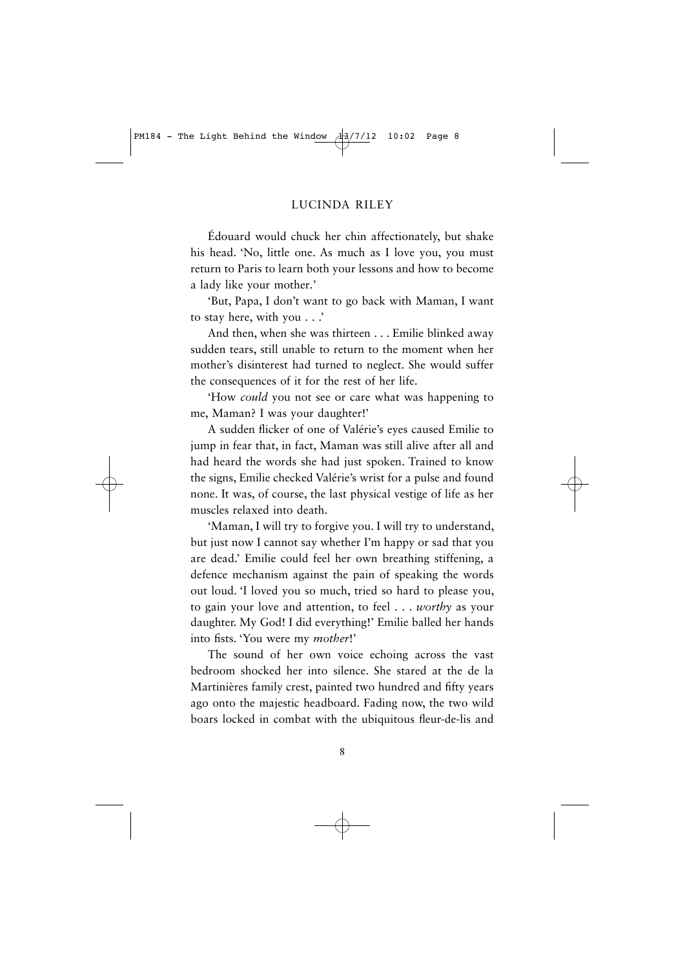Édouard would chuck her chin affectionately, but shake his head. 'No, little one. As much as I love you, you must return to Paris to learn both your lessons and how to become a lady like your mother*.*'

'But, Papa, I don't want to go back with Maman, I want to stay here, with you . . .'

And then, when she was thirteen . . . Emilie blinked away sudden tears, still unable to return to the moment when her mother's disinterest had turned to neglect. She would suffer the consequences of it for the rest of her life.

'How *could* you not see or care what was happening to me, Maman? I was your daughter!'

A sudden flicker of one of Valérie's eyes caused Emilie to jump in fear that, in fact, Maman was still alive after all and had heard the words she had just spoken. Trained to know the signs, Emilie checked Valérie's wrist for a pulse and found none. It was, of course, the last physical vestige of life as her muscles relaxed into death.

'Maman, I will try to forgive you. I will try to understand, but just now I cannot say whether I'm happy or sad that you are dead.' Emilie could feel her own breathing stiffening, a defence mechanism against the pain of speaking the words out loud. 'I loved you so much, tried so hard to please you, to gain your love and attention, to feel . . . *worthy* as your daughter. My God! I did everything!' Emilie balled her hands into fists. 'You were my *mother*!'

The sound of her own voice echoing across the vast bedroom shocked her into silence. She stared at the de la Martinières family crest, painted two hundred and fifty years ago onto the majestic headboard. Fading now, the two wild boars locked in combat with the ubiquitous fleur-de-lis and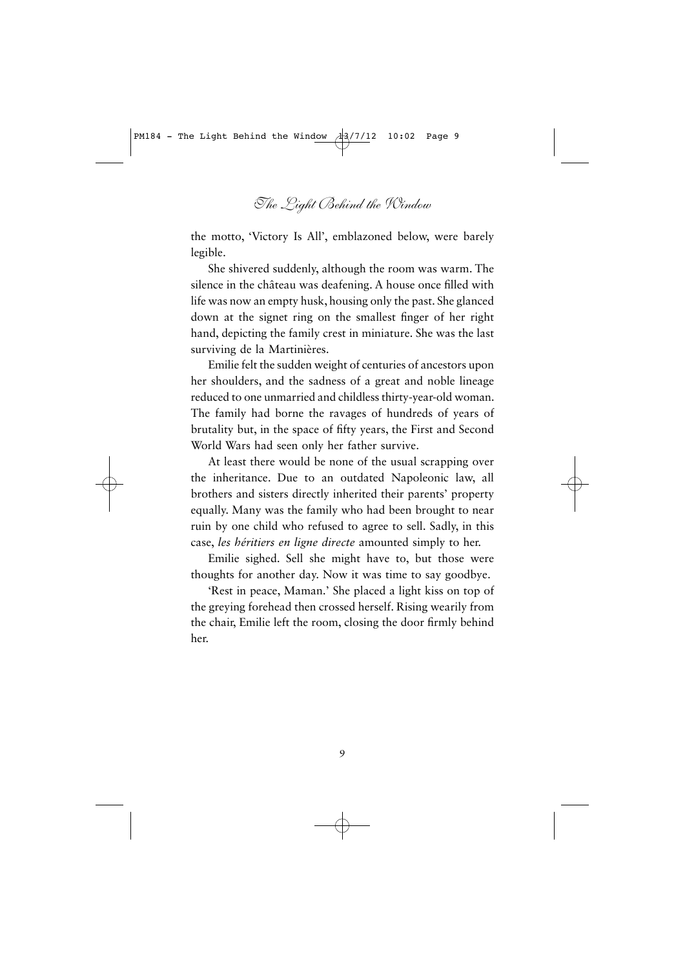the motto, 'Victory Is All', emblazoned below, were barely legible.

She shivered suddenly, although the room was warm. The silence in the château was deafening. A house once filled with life was now an empty husk, housing only the past. She glanced down at the signet ring on the smallest finger of her right hand, depicting the family crest in miniature. She was the last surviving de la Martinières.

Emilie felt the sudden weight of centuries of ancestors upon her shoulders, and the sadness of a great and noble lineage reduced to one unmarried and childless thirty-year-old woman. The family had borne the ravages of hundreds of years of brutality but, in the space of fifty years, the First and Second World Wars had seen only her father survive.

At least there would be none of the usual scrapping over the inheritance. Due to an outdated Napoleonic law, all brothers and sisters directly inherited their parents' property equally. Many was the family who had been brought to near ruin by one child who refused to agree to sell. Sadly, in this case, *les héritiers en ligne directe* amounted simply to her.

Emilie sighed. Sell she might have to, but those were thoughts for another day. Now it was time to say goodbye.

'Rest in peace, Maman.' She placed a light kiss on top of the greying forehead then crossed herself. Rising wearily from the chair, Emilie left the room, closing the door firmly behind her.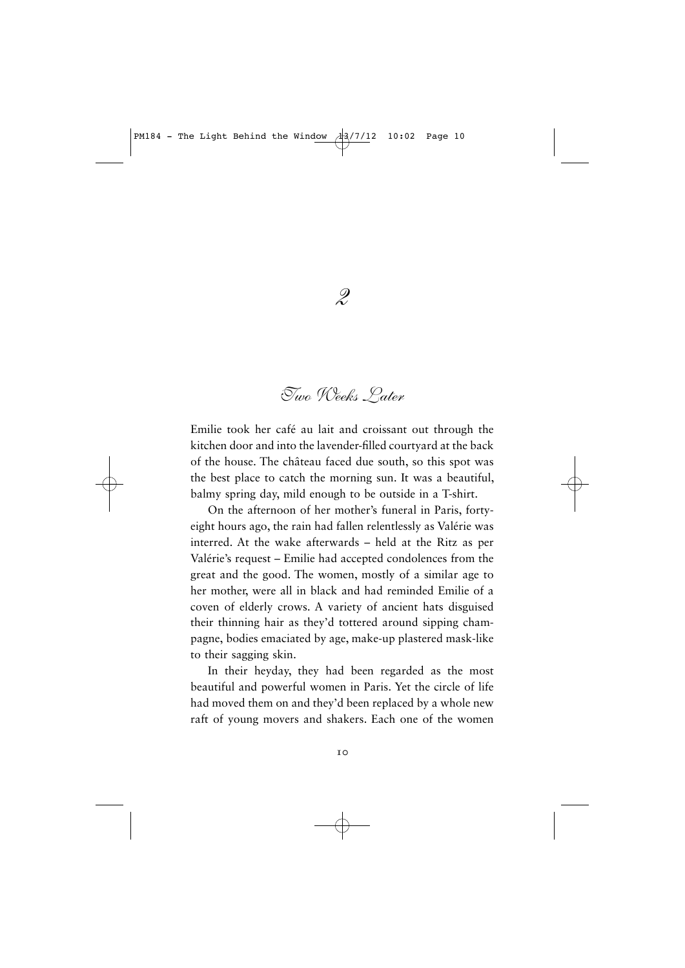*2*

*Two Weeks Later*

Emilie took her café au lait and croissant out through the kitchen door and into the lavender-filled courtyard at the back of the house. The château faced due south, so this spot was the best place to catch the morning sun. It was a beautiful, balmy spring day, mild enough to be outside in a T-shirt.

On the afternoon of her mother's funeral in Paris, fortyeight hours ago, the rain had fallen relentlessly as Valérie was interred. At the wake afterwards – held at the Ritz as per Valérie's request – Emilie had accepted condolences from the great and the good. The women, mostly of a similar age to her mother, were all in black and had reminded Emilie of a coven of elderly crows. A variety of ancient hats disguised their thinning hair as they'd tottered around sipping champagne, bodies emaciated by age, make-up plastered mask-like to their sagging skin.

In their heyday, they had been regarded as the most beautiful and powerful women in Paris. Yet the circle of life had moved them on and they'd been replaced by a whole new raft of young movers and shakers. Each one of the women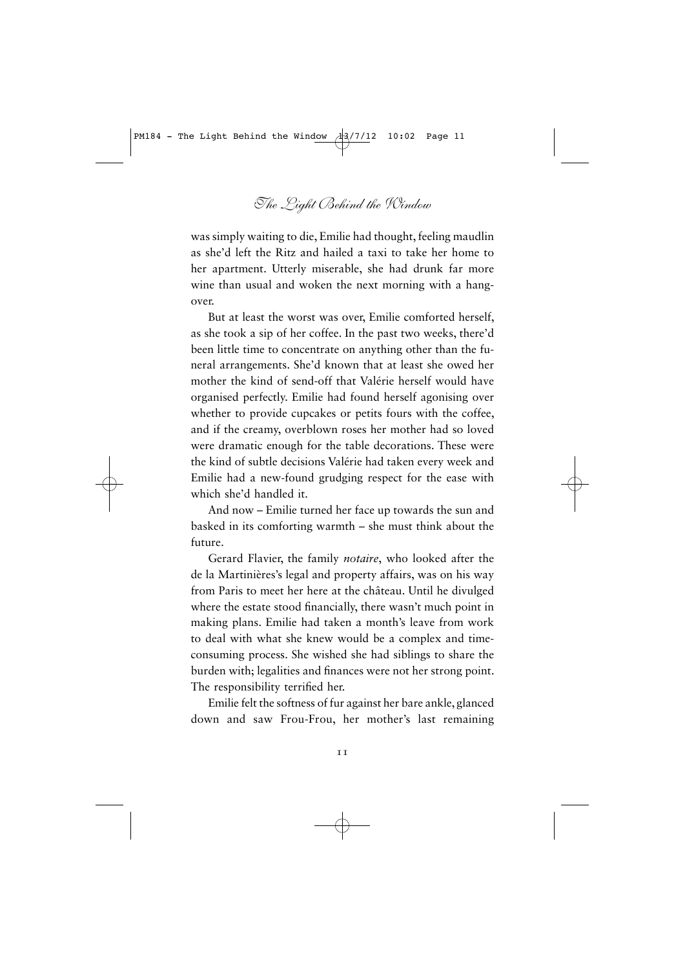was simply waiting to die, Emilie had thought, feeling maudlin as she'd left the Ritz and hailed a taxi to take her home to her apartment. Utterly miserable, she had drunk far more wine than usual and woken the next morning with a hangover.

But at least the worst was over, Emilie comforted herself, as she took a sip of her coffee. In the past two weeks, there'd been little time to concentrate on anything other than the funeral arrangements. She'd known that at least she owed her mother the kind of send-off that Valérie herself would have organised perfectly. Emilie had found herself agonising over whether to provide cupcakes or petits fours with the coffee, and if the creamy, overblown roses her mother had so loved were dramatic enough for the table decorations. These were the kind of subtle decisions Valérie had taken every week and Emilie had a new-found grudging respect for the ease with which she'd handled it.

And now – Emilie turned her face up towards the sun and basked in its comforting warmth – she must think about the future.

Gerard Flavier, the family *notaire*, who looked after the de la Martinières's legal and property affairs, was on his way from Paris to meet her here at the château. Until he divulged where the estate stood financially, there wasn't much point in making plans. Emilie had taken a month's leave from work to deal with what she knew would be a complex and timeconsuming process. She wished she had siblings to share the burden with; legalities and finances were not her strong point. The responsibility terrified her.

Emilie felt the softness of fur against her bare ankle, glanced down and saw Frou-Frou, her mother's last remaining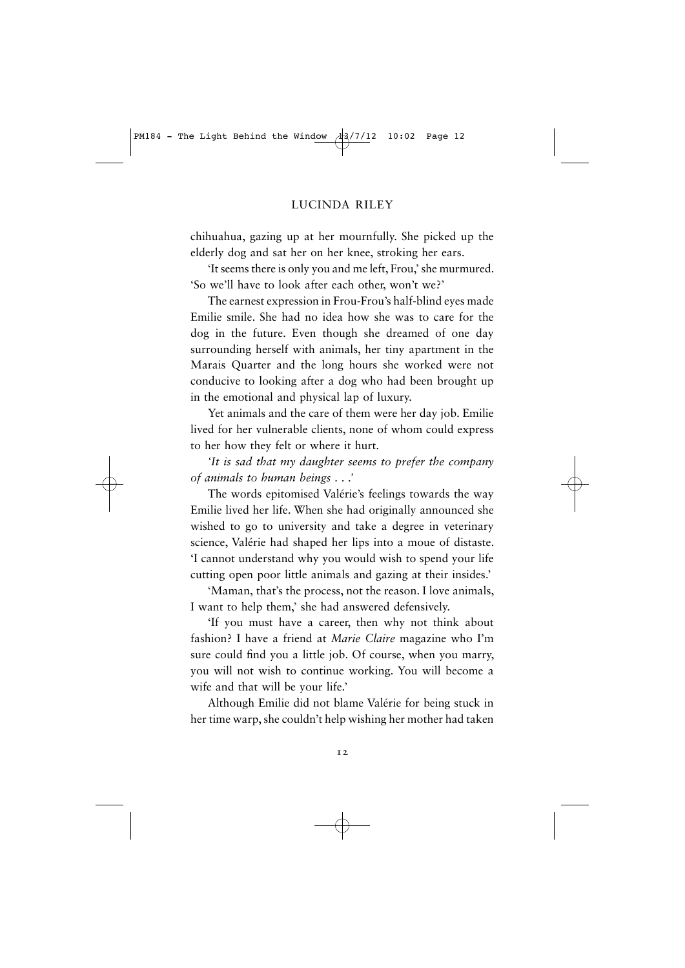chihuahua, gazing up at her mournfully. She picked up the elderly dog and sat her on her knee, stroking her ears.

'It seems there is only you and me left, Frou,' she murmured. 'So we'll have to look after each other, won't we?'

The earnest expression in Frou-Frou's half-blind eyes made Emilie smile. She had no idea how she was to care for the dog in the future. Even though she dreamed of one day surrounding herself with animals, her tiny apartment in the Marais Quarter and the long hours she worked were not conducive to looking after a dog who had been brought up in the emotional and physical lap of luxury.

Yet animals and the care of them were her day job. Emilie lived for her vulnerable clients, none of whom could express to her how they felt or where it hurt.

*'It is sad that my daughter seems to prefer the company of animals to human beings . . .'*

The words epitomised Valérie's feelings towards the way Emilie lived her life. When she had originally announced she wished to go to university and take a degree in veterinary science, Valérie had shaped her lips into a moue of distaste. 'I cannot understand why you would wish to spend your life cutting open poor little animals and gazing at their insides.'

'Maman, that's the process, not the reason. I love animals, I want to help them,' she had answered defensively.

'If you must have a career, then why not think about fashion? I have a friend at *Marie Claire* magazine who I'm sure could find you a little job. Of course, when you marry, you will not wish to continue working. You will become a wife and that will be your life.'

Although Emilie did not blame Valérie for being stuck in her time warp, she couldn't help wishing her mother had taken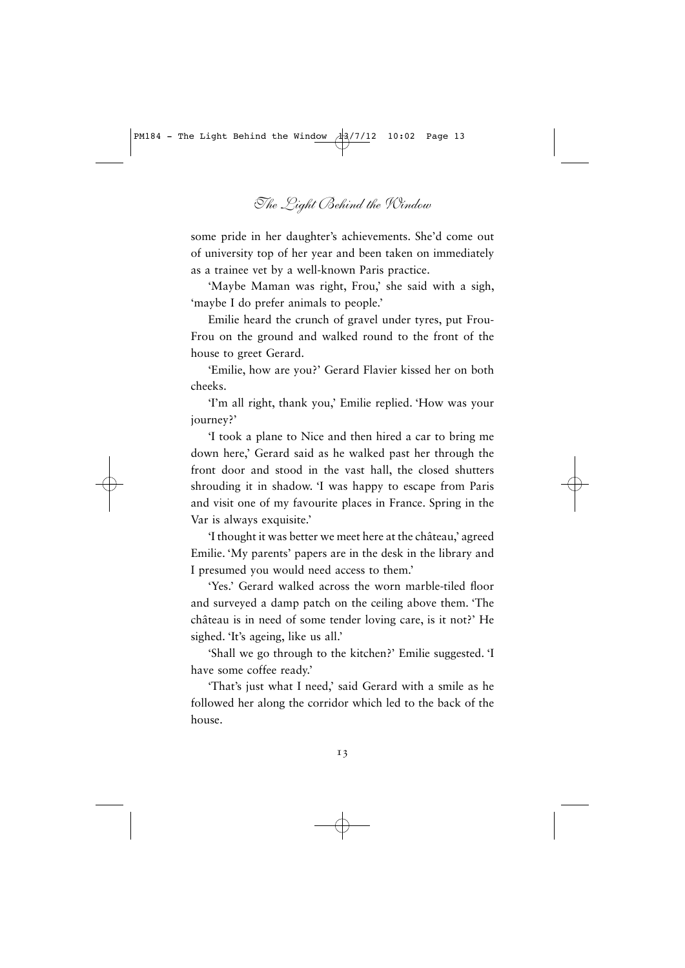some pride in her daughter's achievements. She'd come out of university top of her year and been taken on immediately as a trainee vet by a well-known Paris practice.

'Maybe Maman was right, Frou,' she said with a sigh, 'maybe I do prefer animals to people.'

Emilie heard the crunch of gravel under tyres, put Frou-Frou on the ground and walked round to the front of the house to greet Gerard.

'Emilie, how are you?' Gerard Flavier kissed her on both cheeks.

'I'm all right, thank you,' Emilie replied. 'How was your journey?'

'I took a plane to Nice and then hired a car to bring me down here,' Gerard said as he walked past her through the front door and stood in the vast hall, the closed shutters shrouding it in shadow. 'I was happy to escape from Paris and visit one of my favourite places in France. Spring in the Var is always exquisite.'

'I thought it was better we meet here at the château,' agreed Emilie. 'My parents' papers are in the desk in the library and I presumed you would need access to them.'

'Yes.' Gerard walked across the worn marble-tiled floor and surveyed a damp patch on the ceiling above them. 'The château is in need of some tender loving care, is it not?' He sighed. 'It's ageing, like us all.'

'Shall we go through to the kitchen?' Emilie suggested. 'I have some coffee ready.'

'That's just what I need,' said Gerard with a smile as he followed her along the corridor which led to the back of the house.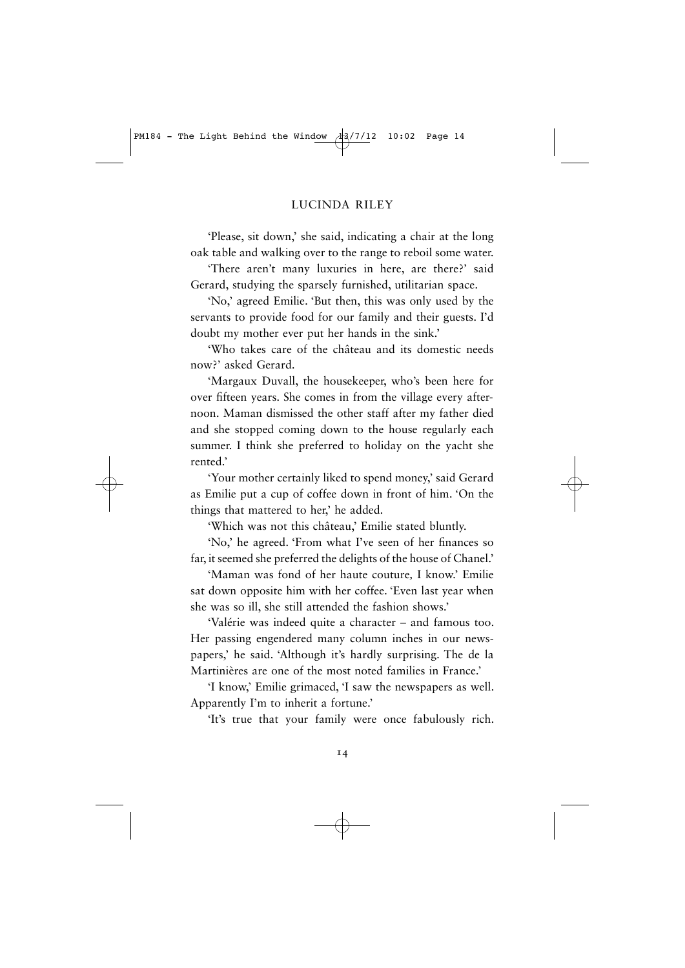'Please, sit down,' she said, indicating a chair at the long oak table and walking over to the range to reboil some water.

'There aren't many luxuries in here, are there?' said Gerard, studying the sparsely furnished, utilitarian space.

'No,' agreed Emilie. 'But then, this was only used by the servants to provide food for our family and their guests. I'd doubt my mother ever put her hands in the sink.'

'Who takes care of the château and its domestic needs now?' asked Gerard.

'Margaux Duvall, the housekeeper, who's been here for over fifteen years. She comes in from the village every afternoon. Maman dismissed the other staff after my father died and she stopped coming down to the house regularly each summer. I think she preferred to holiday on the yacht she rented.'

'Your mother certainly liked to spend money,' said Gerard as Emilie put a cup of coffee down in front of him. 'On the things that mattered to her,' he added.

'Which was not this château,' Emilie stated bluntly.

'No,' he agreed. 'From what I've seen of her finances so far, it seemed she preferred the delights of the house of Chanel.'

'Maman was fond of her haute couture*,* I know.' Emilie sat down opposite him with her coffee. 'Even last year when she was so ill, she still attended the fashion shows.'

'Valérie was indeed quite a character – and famous too. Her passing engendered many column inches in our newspapers,' he said. 'Although it's hardly surprising. The de la Martinières are one of the most noted families in France.'

'I know,' Emilie grimaced, 'I saw the newspapers as well. Apparently I'm to inherit a fortune.'

'It's true that your family were once fabulously rich.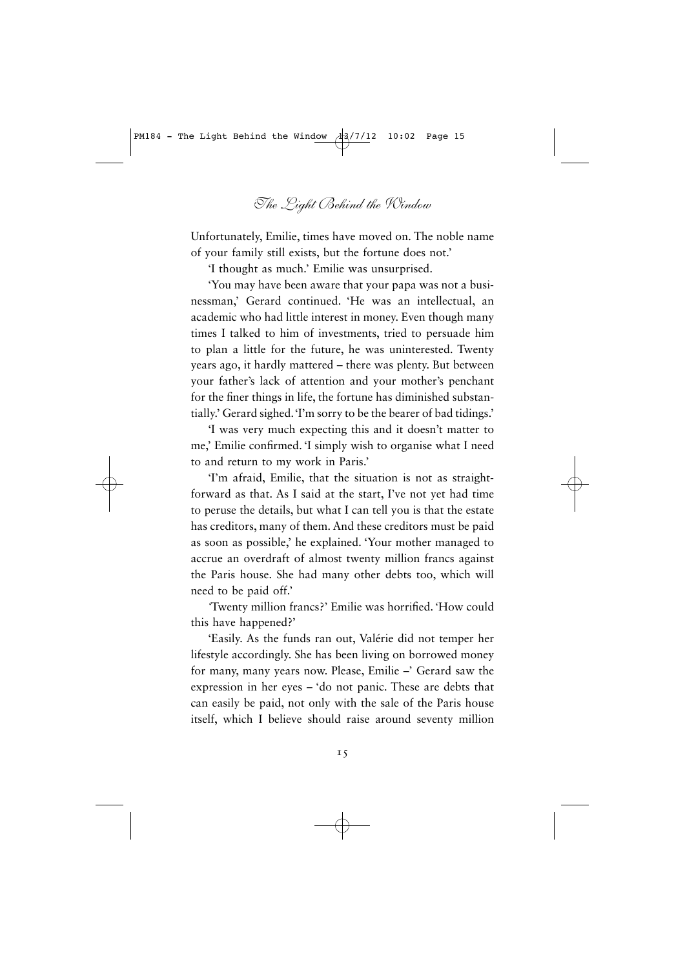Unfortunately, Emilie, times have moved on. The noble name of your family still exists, but the fortune does not.'

'I thought as much.' Emilie was unsurprised.

'You may have been aware that your papa was not a businessman,' Gerard continued. 'He was an intellectual, an academic who had little interest in money. Even though many times I talked to him of investments, tried to persuade him to plan a little for the future, he was uninterested. Twenty years ago, it hardly mattered – there was plenty. But between your father's lack of attention and your mother's penchant for the finer things in life, the fortune has diminished substantially.' Gerard sighed. 'I'm sorry to be the bearer of bad tidings.'

'I was very much expecting this and it doesn't matter to me,' Emilie confirmed. 'I simply wish to organise what I need to and return to my work in Paris.'

'I'm afraid, Emilie, that the situation is not as straightforward as that. As I said at the start, I've not yet had time to peruse the details, but what I can tell you is that the estate has creditors, many of them. And these creditors must be paid as soon as possible,' he explained. 'Your mother managed to accrue an overdraft of almost twenty million francs against the Paris house. She had many other debts too, which will need to be paid off.'

*'*Twenty million francs?' Emilie was horrified. 'How could this have happened?'

'Easily. As the funds ran out, Valérie did not temper her lifestyle accordingly. She has been living on borrowed money for many, many years now. Please, Emilie –' Gerard saw the expression in her eyes – 'do not panic. These are debts that can easily be paid, not only with the sale of the Paris house itself, which I believe should raise around seventy million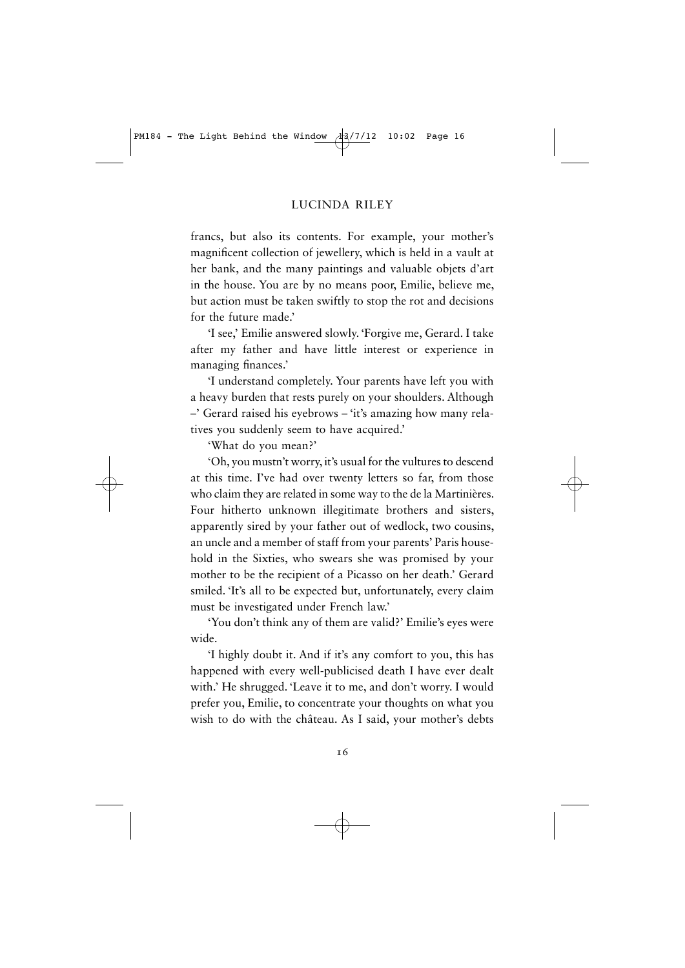francs, but also its contents. For example, your mother's magnificent collection of jewellery, which is held in a vault at her bank, and the many paintings and valuable objets d'art in the house. You are by no means poor, Emilie, believe me, but action must be taken swiftly to stop the rot and decisions for the future made.'

'I see,' Emilie answered slowly. 'Forgive me, Gerard. I take after my father and have little interest or experience in managing finances.'

'I understand completely. Your parents have left you with a heavy burden that rests purely on your shoulders. Although –' Gerard raised his eyebrows – 'it's amazing how many relatives you suddenly seem to have acquired.'

'What do you mean?'

'Oh, you mustn't worry, it's usual for the vultures to descend at this time. I've had over twenty letters so far, from those who claim they are related in some way to the de la Martinières. Four hitherto unknown illegitimate brothers and sisters, apparently sired by your father out of wedlock, two cousins, an uncle and a member of staff from your parents' Paris household in the Sixties, who swears she was promised by your mother to be the recipient of a Picasso on her death.' Gerard smiled. 'It's all to be expected but, unfortunately, every claim must be investigated under French law.'

'You don't think any of them are valid?' Emilie's eyes were wide.

'I highly doubt it. And if it's any comfort to you, this has happened with every well-publicised death I have ever dealt with.' He shrugged. 'Leave it to me, and don't worry. I would prefer you, Emilie, to concentrate your thoughts on what you wish to do with the château. As I said, your mother's debts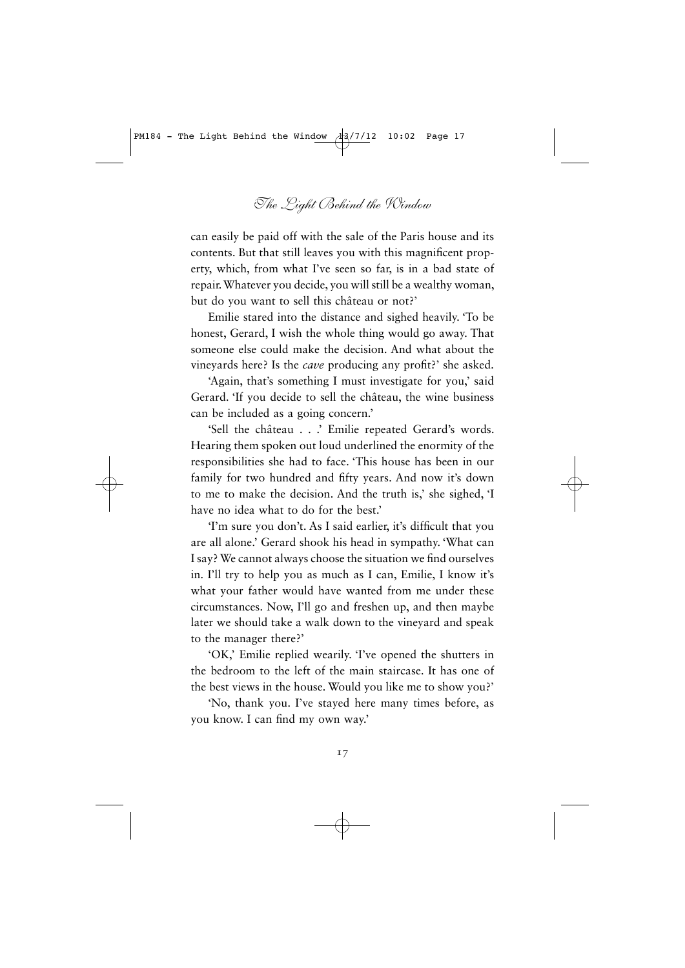can easily be paid off with the sale of the Paris house and its contents. But that still leaves you with this magnificent property, which, from what I've seen so far, is in a bad state of repair. Whatever you decide, you will still be a wealthy woman, but do you want to sell this château or not?'

Emilie stared into the distance and sighed heavily. 'To be honest, Gerard, I wish the whole thing would go away. That someone else could make the decision. And what about the vineyards here? Is the *cave* producing any profit?' she asked.

'Again, that's something I must investigate for you,' said Gerard. 'If you decide to sell the château, the wine business can be included as a going concern.'

'Sell the château . . .' Emilie repeated Gerard's words. Hearing them spoken out loud underlined the enormity of the responsibilities she had to face. 'This house has been in our family for two hundred and fifty years. And now it's down to me to make the decision. And the truth is,' she sighed, 'I have no idea what to do for the best.'

'I'm sure you don't. As I said earlier, it's difficult that you are all alone.' Gerard shook his head in sympathy. 'What can I say? We cannot always choose the situation we find ourselves in. I'll try to help you as much as I can, Emilie, I know it's what your father would have wanted from me under these circumstances. Now, I'll go and freshen up, and then maybe later we should take a walk down to the vineyard and speak to the manager there?'

'OK,' Emilie replied wearily. 'I've opened the shutters in the bedroom to the left of the main staircase. It has one of the best views in the house. Would you like me to show you?'

'No, thank you. I've stayed here many times before, as you know. I can find my own way.'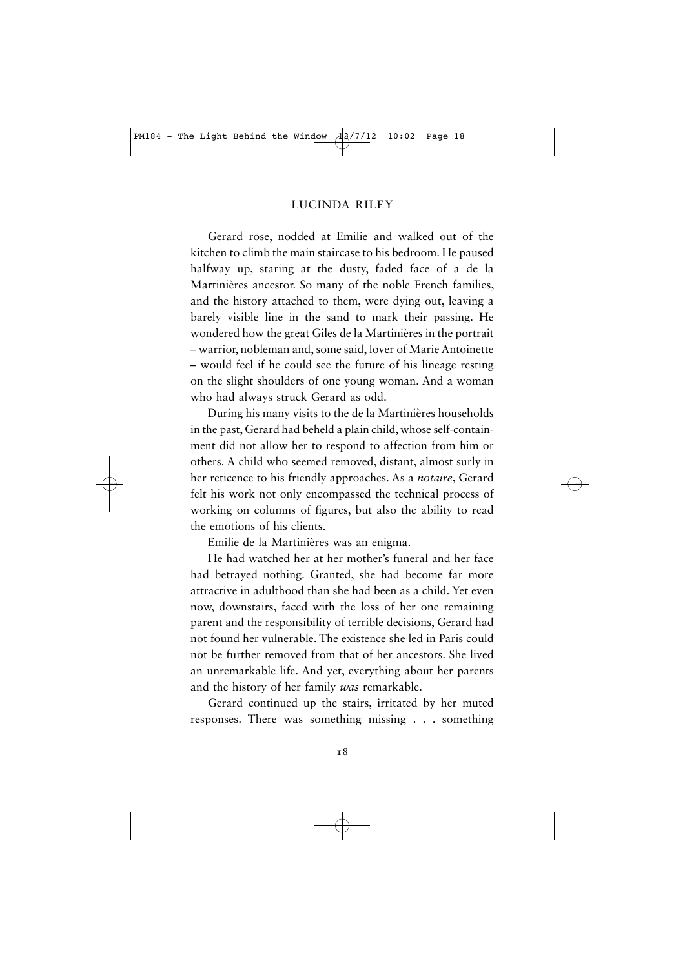Gerard rose, nodded at Emilie and walked out of the kitchen to climb the main staircase to his bedroom. He paused halfway up, staring at the dusty, faded face of a de la Martinières ancestor. So many of the noble French families, and the history attached to them, were dying out, leaving a barely visible line in the sand to mark their passing. He wondered how the great Giles de la Martinières in the portrait – warrior, nobleman and, some said, lover of Marie Antoinette – would feel if he could see the future of his lineage resting on the slight shoulders of one young woman. And a woman who had always struck Gerard as odd.

During his many visits to the de la Martinières households in the past, Gerard had beheld a plain child, whose self-containment did not allow her to respond to affection from him or others. A child who seemed removed, distant, almost surly in her reticence to his friendly approaches. As a *notaire*, Gerard felt his work not only encompassed the technical process of working on columns of figures, but also the ability to read the emotions of his clients.

Emilie de la Martinières was an enigma.

He had watched her at her mother's funeral and her face had betrayed nothing. Granted, she had become far more attractive in adulthood than she had been as a child. Yet even now, downstairs, faced with the loss of her one remaining parent and the responsibility of terrible decisions, Gerard had not found her vulnerable. The existence she led in Paris could not be further removed from that of her ancestors. She lived an unremarkable life. And yet, everything about her parents and the history of her family *was* remarkable.

Gerard continued up the stairs, irritated by her muted responses. There was something missing . . . something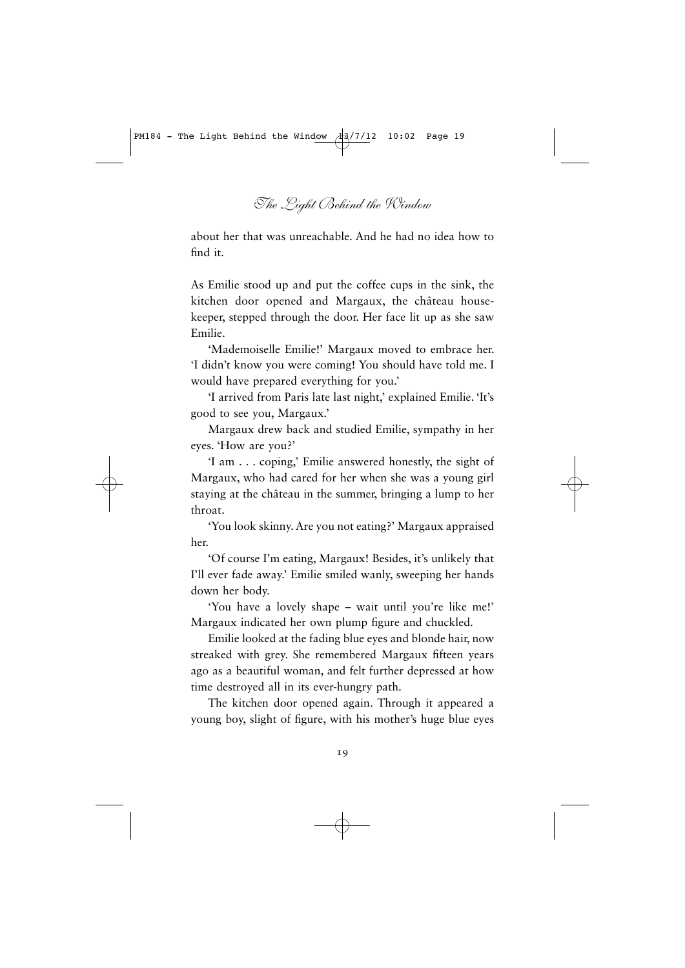*The Light Behind the Window*

about her that was unreachable. And he had no idea how to find it.

As Emilie stood up and put the coffee cups in the sink, the kitchen door opened and Margaux, the château housekeeper, stepped through the door. Her face lit up as she saw Emilie.

'Mademoiselle Emilie!' Margaux moved to embrace her. 'I didn't know you were coming! You should have told me. I would have prepared everything for you.'

'I arrived from Paris late last night,' explained Emilie. 'It's good to see you, Margaux.'

Margaux drew back and studied Emilie, sympathy in her eyes. 'How are you?'

'I am . . . coping,' Emilie answered honestly, the sight of Margaux, who had cared for her when she was a young girl staying at the château in the summer, bringing a lump to her throat.

'You look skinny. Are you not eating?' Margaux appraised her.

'Of course I'm eating, Margaux! Besides, it's unlikely that I'll ever fade away.' Emilie smiled wanly, sweeping her hands down her body.

'You have a lovely shape – wait until you're like me!' Margaux indicated her own plump figure and chuckled.

Emilie looked at the fading blue eyes and blonde hair, now streaked with grey. She remembered Margaux fifteen years ago as a beautiful woman, and felt further depressed at how time destroyed all in its ever-hungry path.

The kitchen door opened again. Through it appeared a young boy, slight of figure, with his mother's huge blue eyes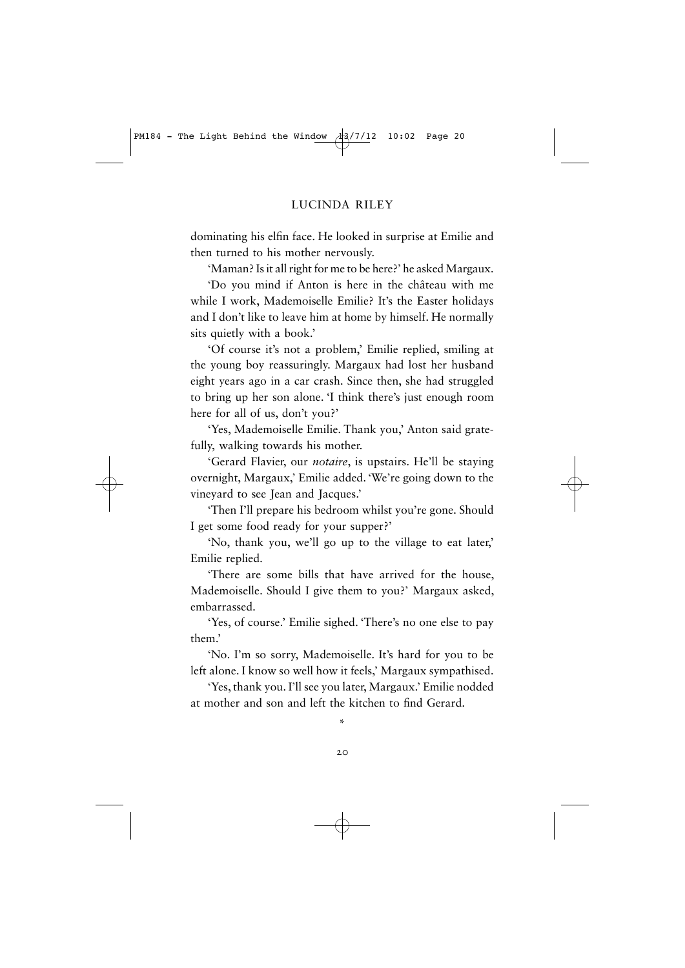dominating his elfin face. He looked in surprise at Emilie and then turned to his mother nervously.

'Maman? Is it all right for me to be here?' he asked Margaux.

'Do you mind if Anton is here in the château with me while I work, Mademoiselle Emilie? It's the Easter holidays and I don't like to leave him at home by himself. He normally sits quietly with a book.'

'Of course it's not a problem,' Emilie replied, smiling at the young boy reassuringly. Margaux had lost her husband eight years ago in a car crash. Since then, she had struggled to bring up her son alone. 'I think there's just enough room here for all of us, don't you?'

'Yes, Mademoiselle Emilie. Thank you,' Anton said gratefully, walking towards his mother.

'Gerard Flavier, our *notaire*, is upstairs. He'll be staying overnight, Margaux,' Emilie added. 'We're going down to the vineyard to see Jean and Jacques.'

'Then I'll prepare his bedroom whilst you're gone. Should I get some food ready for your supper?'

'No, thank you, we'll go up to the village to eat later,' Emilie replied.

'There are some bills that have arrived for the house, Mademoiselle. Should I give them to you?' Margaux asked, embarrassed.

'Yes, of course.' Emilie sighed. 'There's no one else to pay them.'

'No. I'm so sorry, Mademoiselle. It's hard for you to be left alone. I know so well how it feels,' Margaux sympathised.

'Yes, thank you. I'll see you later, Margaux.' Emilie nodded at mother and son and left the kitchen to find Gerard.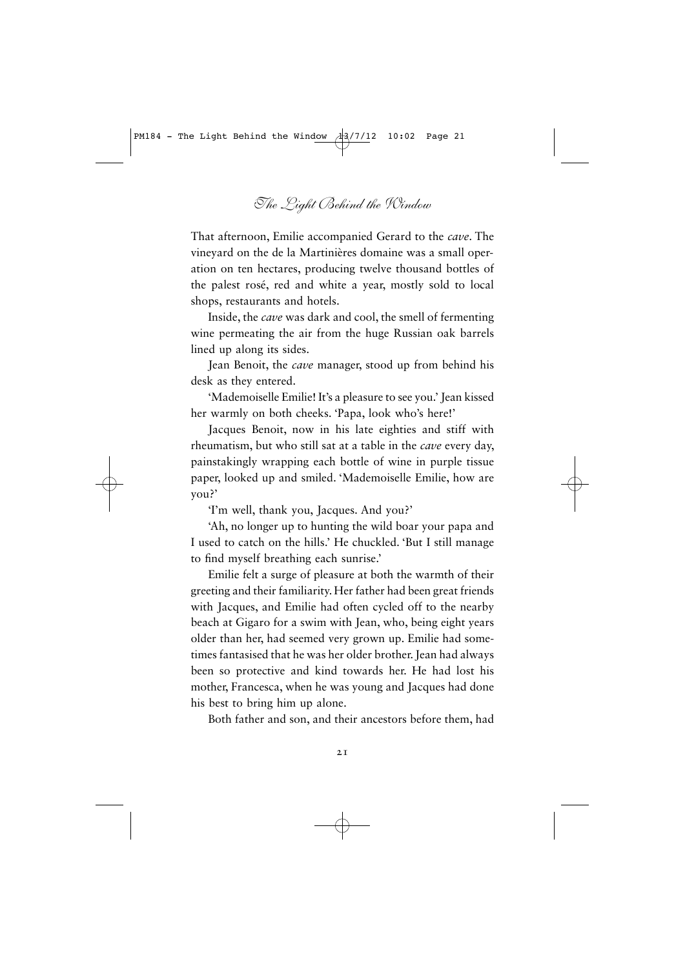That afternoon, Emilie accompanied Gerard to the *cave*. The vineyard on the de la Martinières domaine was a small operation on ten hectares, producing twelve thousand bottles of the palest rosé, red and white a year, mostly sold to local shops, restaurants and hotels.

Inside, the *cave* was dark and cool, the smell of fermenting wine permeating the air from the huge Russian oak barrels lined up along its sides.

Jean Benoit, the *cave* manager, stood up from behind his desk as they entered.

'Mademoiselle Emilie! It's a pleasure to see you.' Jean kissed her warmly on both cheeks. 'Papa, look who's here!'

Jacques Benoit, now in his late eighties and stiff with rheumatism, but who still sat at a table in the *cave* every day, painstakingly wrapping each bottle of wine in purple tissue paper, looked up and smiled. 'Mademoiselle Emilie, how are you?'

'I'm well, thank you, Jacques. And you?'

'Ah, no longer up to hunting the wild boar your papa and I used to catch on the hills.' He chuckled. 'But I still manage to find myself breathing each sunrise.'

Emilie felt a surge of pleasure at both the warmth of their greeting and their familiarity. Her father had been great friends with Jacques, and Emilie had often cycled off to the nearby beach at Gigaro for a swim with Jean, who, being eight years older than her, had seemed very grown up. Emilie had sometimes fantasised that he was her older brother. Jean had always been so protective and kind towards her. He had lost his mother, Francesca, when he was young and Jacques had done his best to bring him up alone.

Both father and son, and their ancestors before them, had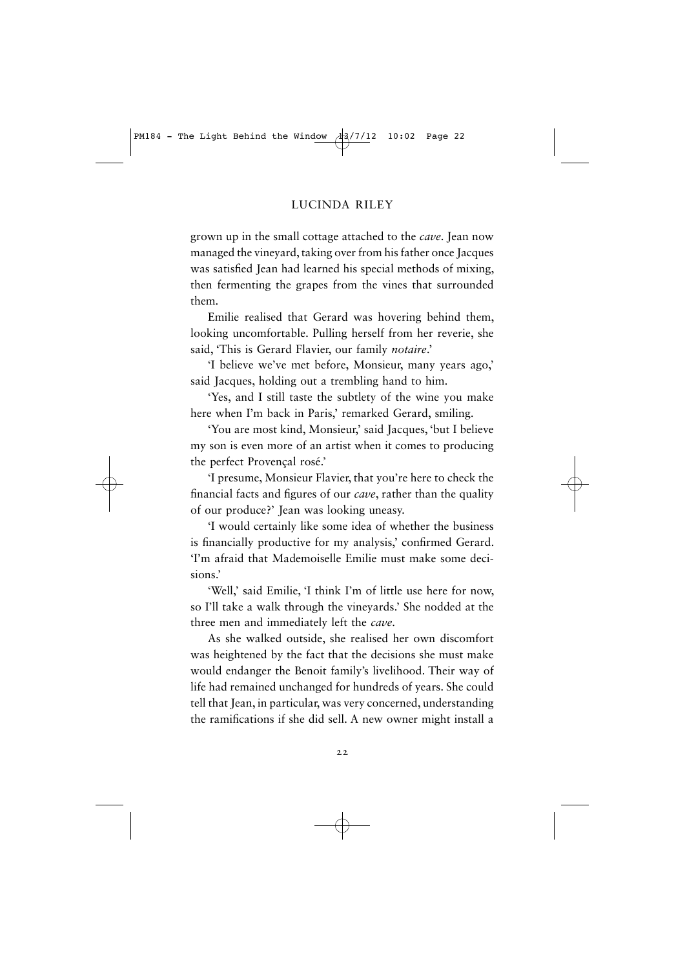grown up in the small cottage attached to the *cave.* Jean now managed the vineyard, taking over from his father once Jacques was satisfied Jean had learned his special methods of mixing, then fermenting the grapes from the vines that surrounded them*.*

Emilie realised that Gerard was hovering behind them, looking uncomfortable. Pulling herself from her reverie, she said, 'This is Gerard Flavier, our family *notaire*.'

'I believe we've met before, Monsieur, many years ago,' said Jacques, holding out a trembling hand to him.

'Yes, and I still taste the subtlety of the wine you make here when I'm back in Paris,' remarked Gerard, smiling.

'You are most kind, Monsieur,' said Jacques, 'but I believe my son is even more of an artist when it comes to producing the perfect Provençal rosé.'

'I presume, Monsieur Flavier, that you're here to check the financial facts and figures of our *cave*, rather than the quality of our produce?' Jean was looking uneasy.

'I would certainly like some idea of whether the business is financially productive for my analysis,' confirmed Gerard. 'I'm afraid that Mademoiselle Emilie must make some decisions.'

'Well,' said Emilie, 'I think I'm of little use here for now, so I'll take a walk through the vineyards.' She nodded at the three men and immediately left the *cave.*

As she walked outside, she realised her own discomfort was heightened by the fact that the decisions she must make would endanger the Benoit family's livelihood. Their way of life had remained unchanged for hundreds of years. She could tell that Jean, in particular, was very concerned, understanding the ramifications if she did sell. A new owner might install a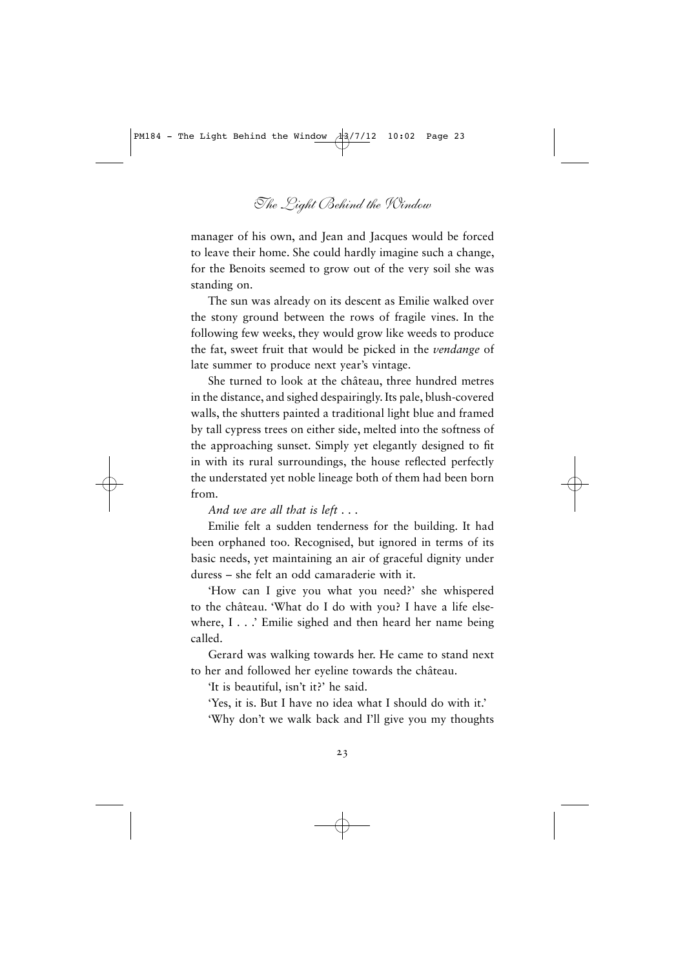manager of his own, and Jean and Jacques would be forced to leave their home. She could hardly imagine such a change, for the Benoits seemed to grow out of the very soil she was standing on.

The sun was already on its descent as Emilie walked over the stony ground between the rows of fragile vines. In the following few weeks, they would grow like weeds to produce the fat, sweet fruit that would be picked in the *vendange* of late summer to produce next year's vintage.

She turned to look at the château, three hundred metres in the distance, and sighed despairingly. Its pale, blush-covered walls, the shutters painted a traditional light blue and framed by tall cypress trees on either side, melted into the softness of the approaching sunset. Simply yet elegantly designed to fit in with its rural surroundings, the house reflected perfectly the understated yet noble lineage both of them had been born from.

#### *And we are all that is left . . .*

Emilie felt a sudden tenderness for the building. It had been orphaned too. Recognised, but ignored in terms of its basic needs, yet maintaining an air of graceful dignity under duress – she felt an odd camaraderie with it.

'How can I give you what you need?' she whispered to the château. 'What do I do with you? I have a life elsewhere, I . . .' Emilie sighed and then heard her name being called.

Gerard was walking towards her. He came to stand next to her and followed her eyeline towards the château.

'It is beautiful, isn't it?' he said.

'Yes, it is. But I have no idea what I should do with it.' 'Why don't we walk back and I'll give you my thoughts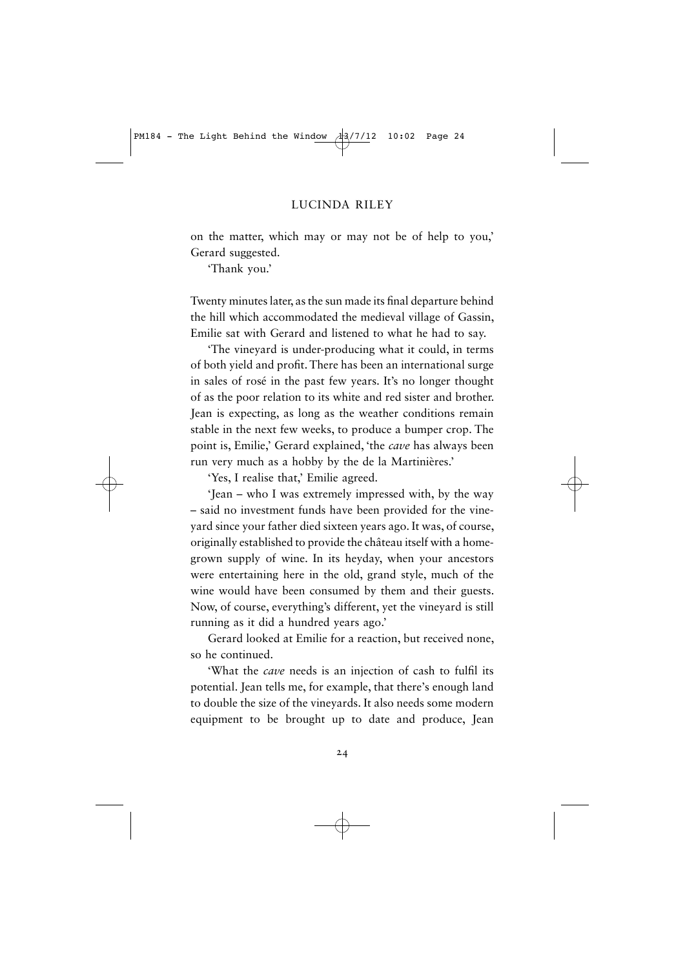#### LUCINDA RILEY

on the matter, which may or may not be of help to you,' Gerard suggested.

'Thank you.'

Twenty minutes later, as the sun made its final departure behind the hill which accommodated the medieval village of Gassin, Emilie sat with Gerard and listened to what he had to say.

'The vineyard is under-producing what it could, in terms of both yield and profit. There has been an international surge in sales of rosé in the past few years. It's no longer thought of as the poor relation to its white and red sister and brother. Jean is expecting, as long as the weather conditions remain stable in the next few weeks, to produce a bumper crop. The point is, Emilie,' Gerard explained, 'the *cave* has always been run very much as a hobby by the de la Martinières.'

'Yes, I realise that,' Emilie agreed.

'Jean – who I was extremely impressed with, by the way – said no investment funds have been provided for the vineyard since your father died sixteen years ago. It was, of course, originally established to provide the château itself with a homegrown supply of wine. In its heyday, when your ancestors were entertaining here in the old, grand style, much of the wine would have been consumed by them and their guests. Now, of course, everything's different, yet the vineyard is still running as it did a hundred years ago.'

Gerard looked at Emilie for a reaction, but received none, so he continued.

'What the *cave* needs is an injection of cash to fulfil its potential. Jean tells me, for example, that there's enough land to double the size of the vineyards. It also needs some modern equipment to be brought up to date and produce, Jean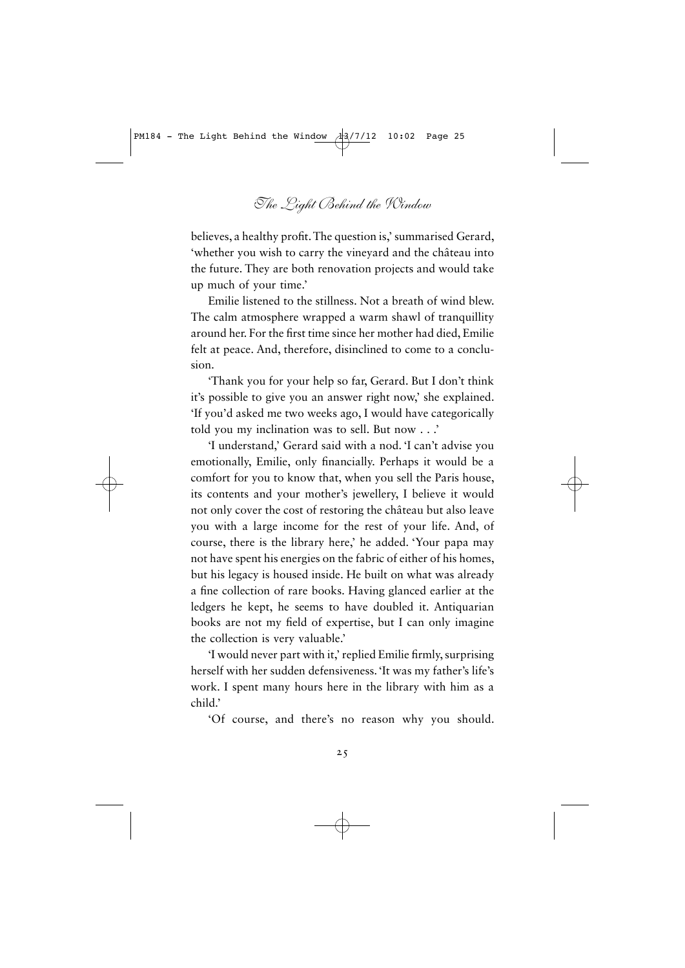believes, a healthy profit. The question is,' summarised Gerard, 'whether you wish to carry the vineyard and the château into the future. They are both renovation projects and would take up much of your time.'

Emilie listened to the stillness. Not a breath of wind blew. The calm atmosphere wrapped a warm shawl of tranquillity around her. For the first time since her mother had died, Emilie felt at peace. And, therefore, disinclined to come to a conclusion.

'Thank you for your help so far, Gerard. But I don't think it's possible to give you an answer right now,' she explained. 'If you'd asked me two weeks ago, I would have categorically told you my inclination was to sell. But now . . .'

'I understand,' Gerard said with a nod. 'I can't advise you emotionally, Emilie, only financially. Perhaps it would be a comfort for you to know that, when you sell the Paris house, its contents and your mother's jewellery, I believe it would not only cover the cost of restoring the château but also leave you with a large income for the rest of your life. And, of course, there is the library here,' he added. 'Your papa may not have spent his energies on the fabric of either of his homes, but his legacy is housed inside. He built on what was already a fine collection of rare books. Having glanced earlier at the ledgers he kept, he seems to have doubled it. Antiquarian books are not my field of expertise, but I can only imagine the collection is very valuable.'

'I would never part with it,' replied Emilie firmly, surprising herself with her sudden defensiveness. 'It was my father's life's work. I spent many hours here in the library with him as a child.'

'Of course, and there's no reason why you should.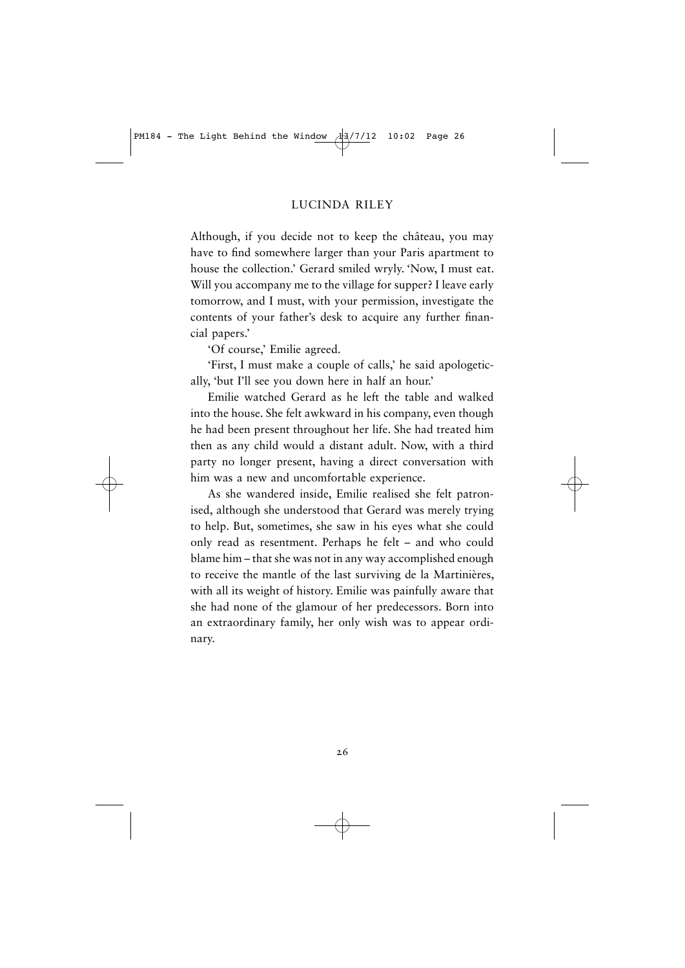Although, if you decide not to keep the château, you may have to find somewhere larger than your Paris apartment to house the collection.' Gerard smiled wryly. 'Now, I must eat. Will you accompany me to the village for supper? I leave early tomorrow, and I must, with your permission, investigate the contents of your father's desk to acquire any further financial papers.'

'Of course,' Emilie agreed.

'First, I must make a couple of calls,' he said apologetically, 'but I'll see you down here in half an hour.'

Emilie watched Gerard as he left the table and walked into the house. She felt awkward in his company, even though he had been present throughout her life. She had treated him then as any child would a distant adult. Now, with a third party no longer present, having a direct conversation with him was a new and uncomfortable experience.

As she wandered inside, Emilie realised she felt patronised, although she understood that Gerard was merely trying to help. But, sometimes, she saw in his eyes what she could only read as resentment. Perhaps he felt – and who could blame him – that she was not in any way accomplished enough to receive the mantle of the last surviving de la Martinières, with all its weight of history. Emilie was painfully aware that she had none of the glamour of her predecessors. Born into an extraordinary family, her only wish was to appear ordinary.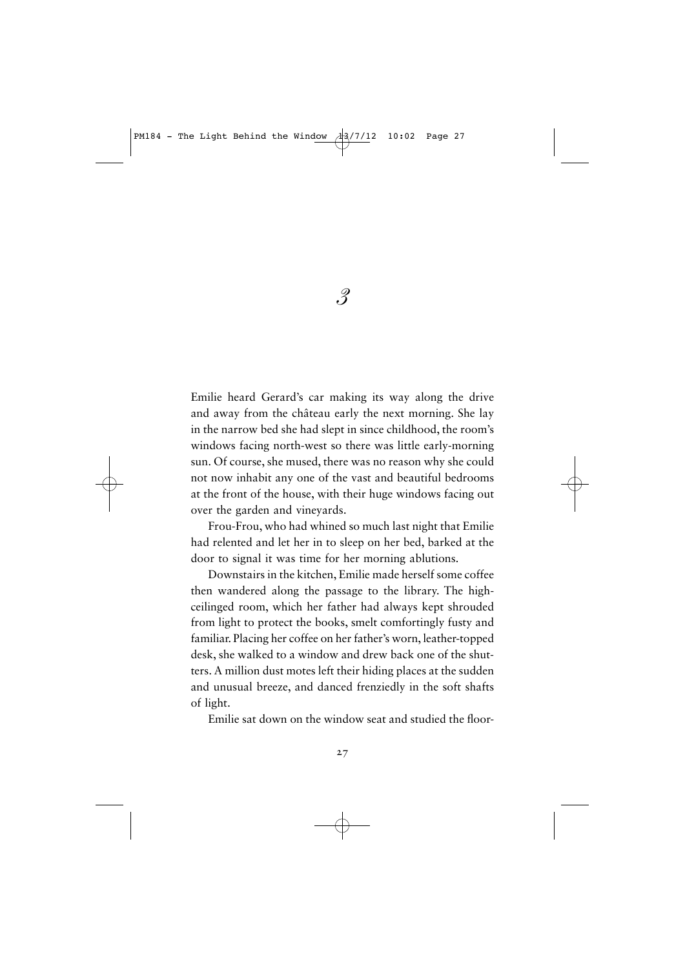*3*

Emilie heard Gerard's car making its way along the drive and away from the château early the next morning. She lay in the narrow bed she had slept in since childhood, the room's windows facing north-west so there was little early-morning sun. Of course, she mused, there was no reason why she could not now inhabit any one of the vast and beautiful bedrooms at the front of the house, with their huge windows facing out over the garden and vineyards.

Frou-Frou, who had whined so much last night that Emilie had relented and let her in to sleep on her bed, barked at the door to signal it was time for her morning ablutions.

Downstairs in the kitchen, Emilie made herself some coffee then wandered along the passage to the library. The highceilinged room, which her father had always kept shrouded from light to protect the books, smelt comfortingly fusty and familiar. Placing her coffee on her father's worn, leather-topped desk, she walked to a window and drew back one of the shutters. A million dust motes left their hiding places at the sudden and unusual breeze, and danced frenziedly in the soft shafts of light.

Emilie sat down on the window seat and studied the floor-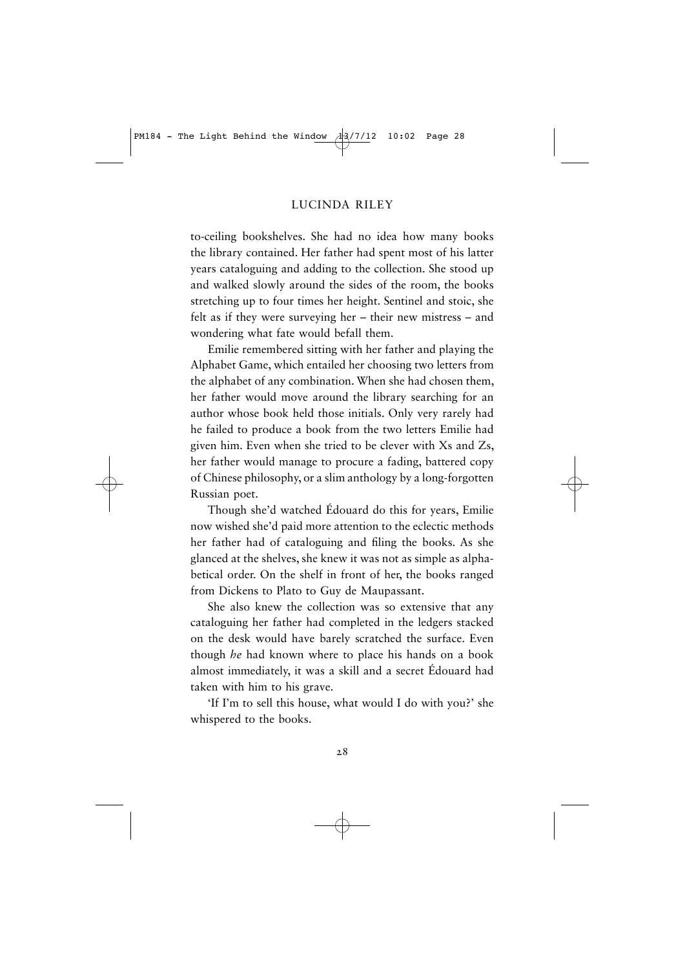#### LUCINDA RILEY

to-ceiling bookshelves. She had no idea how many books the library contained. Her father had spent most of his latter years cataloguing and adding to the collection. She stood up and walked slowly around the sides of the room, the books stretching up to four times her height. Sentinel and stoic, she felt as if they were surveying her – their new mistress – and wondering what fate would befall them.

Emilie remembered sitting with her father and playing the Alphabet Game, which entailed her choosing two letters from the alphabet of any combination. When she had chosen them, her father would move around the library searching for an author whose book held those initials. Only very rarely had he failed to produce a book from the two letters Emilie had given him. Even when she tried to be clever with Xs and Zs, her father would manage to procure a fading, battered copy of Chinese philosophy, or a slim anthology by a long-forgotten Russian poet.

Though she'd watched Édouard do this for years, Emilie now wished she'd paid more attention to the eclectic methods her father had of cataloguing and filing the books. As she glanced at the shelves, she knew it was not as simple as alphabetical order. On the shelf in front of her, the books ranged from Dickens to Plato to Guy de Maupassant.

She also knew the collection was so extensive that any cataloguing her father had completed in the ledgers stacked on the desk would have barely scratched the surface. Even though *he* had known where to place his hands on a book almost immediately, it was a skill and a secret Édouard had taken with him to his grave.

'If I'm to sell this house, what would I do with you?' she whispered to the books.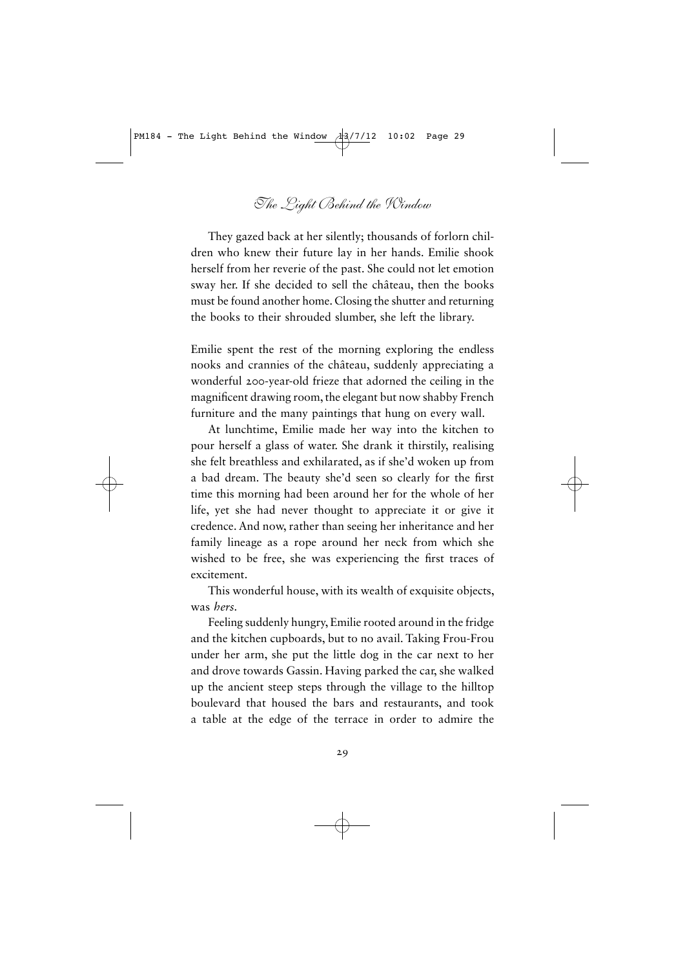They gazed back at her silently; thousands of forlorn children who knew their future lay in her hands. Emilie shook herself from her reverie of the past. She could not let emotion sway her. If she decided to sell the château, then the books must be found another home. Closing the shutter and returning the books to their shrouded slumber, she left the library.

Emilie spent the rest of the morning exploring the endless nooks and crannies of the château, suddenly appreciating a wonderful 200-year-old frieze that adorned the ceiling in the magnificent drawing room, the elegant but now shabby French furniture and the many paintings that hung on every wall.

At lunchtime, Emilie made her way into the kitchen to pour herself a glass of water. She drank it thirstily, realising she felt breathless and exhilarated, as if she'd woken up from a bad dream. The beauty she'd seen so clearly for the first time this morning had been around her for the whole of her life, yet she had never thought to appreciate it or give it credence. And now, rather than seeing her inheritance and her family lineage as a rope around her neck from which she wished to be free, she was experiencing the first traces of excitement.

This wonderful house, with its wealth of exquisite objects, was *hers.*

Feeling suddenly hungry, Emilie rooted around in the fridge and the kitchen cupboards, but to no avail. Taking Frou-Frou under her arm, she put the little dog in the car next to her and drove towards Gassin. Having parked the car, she walked up the ancient steep steps through the village to the hilltop boulevard that housed the bars and restaurants, and took a table at the edge of the terrace in order to admire the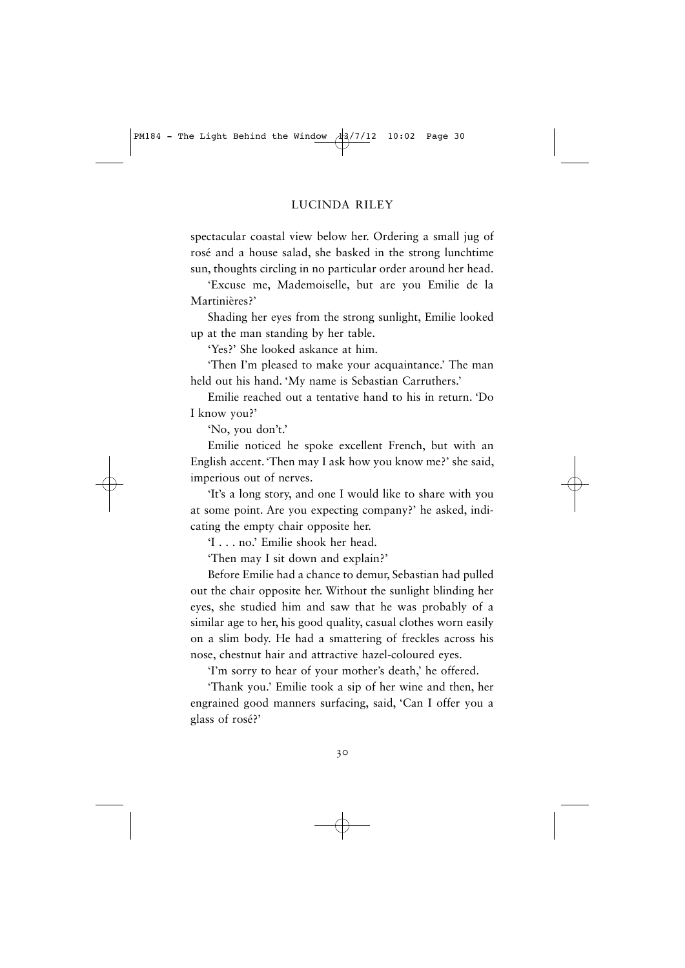spectacular coastal view below her. Ordering a small jug of rosé and a house salad, she basked in the strong lunchtime sun, thoughts circling in no particular order around her head.

'Excuse me, Mademoiselle, but are you Emilie de la Martinières?'

Shading her eyes from the strong sunlight, Emilie looked up at the man standing by her table.

'Yes?' She looked askance at him.

'Then I'm pleased to make your acquaintance.' The man held out his hand. 'My name is Sebastian Carruthers.'

Emilie reached out a tentative hand to his in return. 'Do I know you?'

'No, you don't.'

Emilie noticed he spoke excellent French, but with an English accent. 'Then may I ask how you know me?' she said, imperious out of nerves.

'It's a long story, and one I would like to share with you at some point. Are you expecting company?' he asked, indicating the empty chair opposite her.

'I . . . no.' Emilie shook her head.

'Then may I sit down and explain?'

Before Emilie had a chance to demur, Sebastian had pulled out the chair opposite her. Without the sunlight blinding her eyes, she studied him and saw that he was probably of a similar age to her, his good quality, casual clothes worn easily on a slim body. He had a smattering of freckles across his nose, chestnut hair and attractive hazel-coloured eyes.

'I'm sorry to hear of your mother's death,' he offered.

'Thank you.' Emilie took a sip of her wine and then, her engrained good manners surfacing, said, 'Can I offer you a glass of rosé?'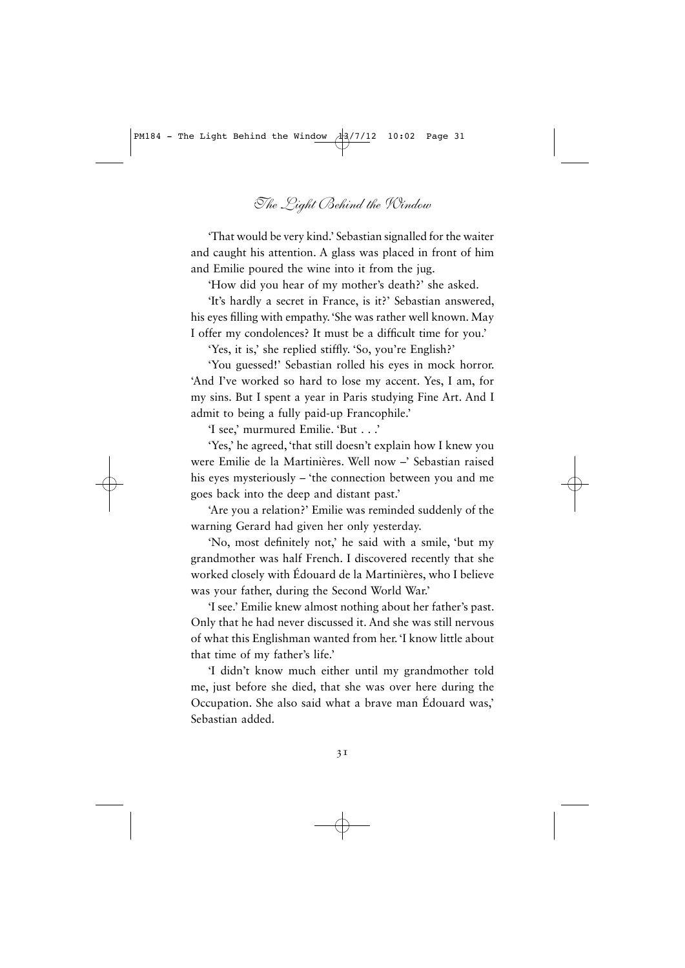'That would be very kind.' Sebastian signalled for the waiter and caught his attention. A glass was placed in front of him and Emilie poured the wine into it from the jug.

'How did you hear of my mother's death?' she asked.

'It's hardly a secret in France, is it?' Sebastian answered, his eyes filling with empathy. 'She was rather well known. May I offer my condolences? It must be a difficult time for you.'

'Yes, it is,' she replied stiffly. 'So, you're English?'

'You guessed!' Sebastian rolled his eyes in mock horror. 'And I've worked so hard to lose my accent. Yes, I am, for my sins. But I spent a year in Paris studying Fine Art. And I admit to being a fully paid-up Francophile.'

'I see,' murmured Emilie. 'But . . .'

'Yes,' he agreed, 'that still doesn't explain how I knew you were Emilie de la Martinières. Well now –' Sebastian raised his eyes mysteriously – 'the connection between you and me goes back into the deep and distant past.'

'Are you a relation?' Emilie was reminded suddenly of the warning Gerard had given her only yesterday.

'No, most definitely not,' he said with a smile, 'but my grandmother was half French. I discovered recently that she worked closely with Édouard de la Martinières, who I believe was your father, during the Second World War.'

'I see.' Emilie knew almost nothing about her father's past. Only that he had never discussed it. And she was still nervous of what this Englishman wanted from her. 'I know little about that time of my father's life.'

'I didn't know much either until my grandmother told me, just before she died, that she was over here during the Occupation. She also said what a brave man Édouard was,' Sebastian added.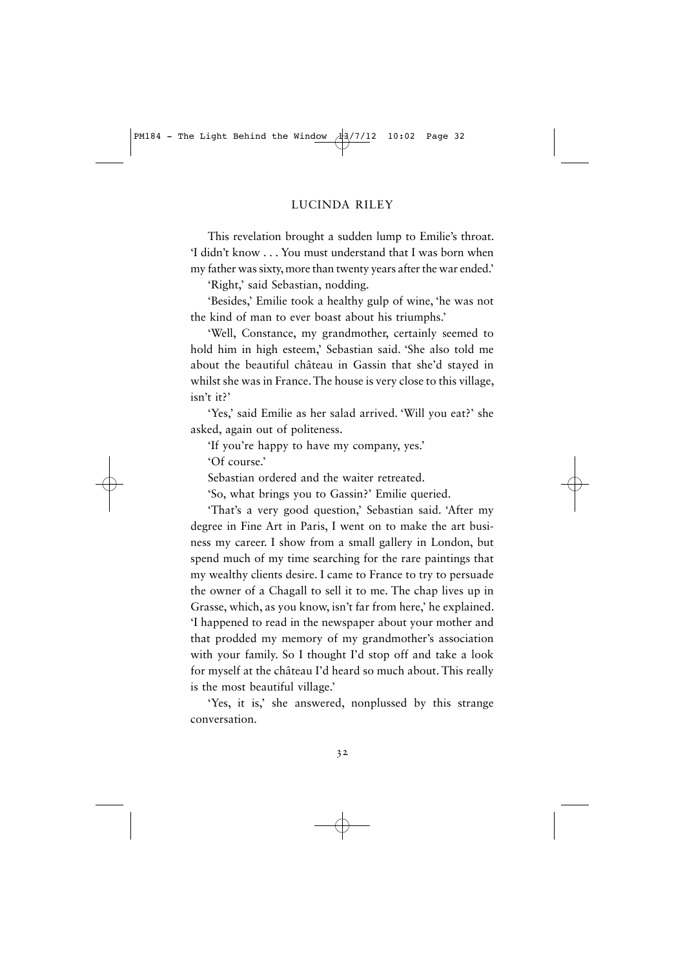This revelation brought a sudden lump to Emilie's throat. 'I didn't know . . . You must understand that I was born when my father was sixty, more than twenty years after the war ended.'

'Right,' said Sebastian, nodding.

'Besides,' Emilie took a healthy gulp of wine, 'he was not the kind of man to ever boast about his triumphs.'

'Well, Constance, my grandmother, certainly seemed to hold him in high esteem,' Sebastian said. 'She also told me about the beautiful château in Gassin that she'd stayed in whilst she was in France. The house is very close to this village, isn't it?'

'Yes,' said Emilie as her salad arrived. 'Will you eat?' she asked, again out of politeness.

'If you're happy to have my company, yes.'

'Of course.'

Sebastian ordered and the waiter retreated.

'So, what brings you to Gassin?' Emilie queried.

'That's a very good question,' Sebastian said. 'After my degree in Fine Art in Paris, I went on to make the art business my career. I show from a small gallery in London, but spend much of my time searching for the rare paintings that my wealthy clients desire. I came to France to try to persuade the owner of a Chagall to sell it to me. The chap lives up in Grasse, which, as you know, isn't far from here,' he explained. 'I happened to read in the newspaper about your mother and that prodded my memory of my grandmother's association with your family. So I thought I'd stop off and take a look for myself at the château I'd heard so much about. This really is the most beautiful village.'

'Yes, it is,' she answered, nonplussed by this strange conversation.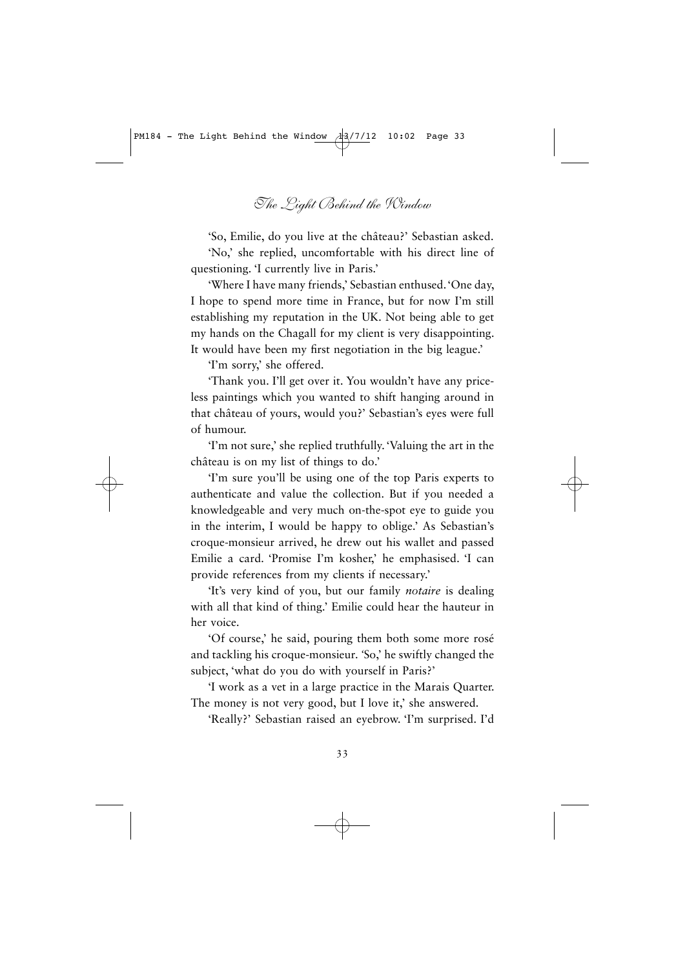'So, Emilie, do you live at the château?' Sebastian asked.

'No,' she replied, uncomfortable with his direct line of questioning. 'I currently live in Paris.'

'Where I have many friends,' Sebastian enthused. 'One day, I hope to spend more time in France, but for now I'm still establishing my reputation in the UK. Not being able to get my hands on the Chagall for my client is very disappointing. It would have been my first negotiation in the big league.'

'I'm sorry,' she offered.

'Thank you. I'll get over it. You wouldn't have any priceless paintings which you wanted to shift hanging around in that château of yours, would you?' Sebastian's eyes were full of humour.

'I'm not sure,' she replied truthfully. 'Valuing the art in the château is on my list of things to do.'

'I'm sure you'll be using one of the top Paris experts to authenticate and value the collection. But if you needed a knowledgeable and very much on-the-spot eye to guide you in the interim, I would be happy to oblige.' As Sebastian's croque-monsieur arrived, he drew out his wallet and passed Emilie a card. 'Promise I'm kosher,' he emphasised. 'I can provide references from my clients if necessary.'

'It's very kind of you, but our family *notaire* is dealing with all that kind of thing.' Emilie could hear the hauteur in her voice.

'Of course,' he said, pouring them both some more rosé and tackling his croque-monsieur*. '*So,' he swiftly changed the subject, 'what do you do with yourself in Paris?'

'I work as a vet in a large practice in the Marais Quarter. The money is not very good, but I love it,' she answered.

'Really?' Sebastian raised an eyebrow. 'I'm surprised. I'd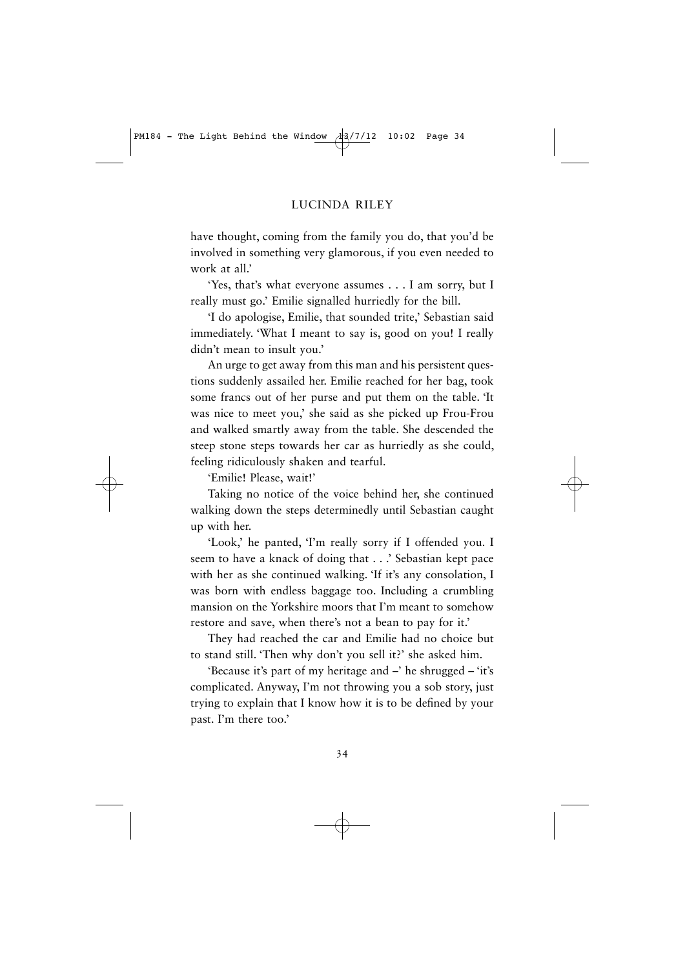have thought, coming from the family you do, that you'd be involved in something very glamorous, if you even needed to work at all.'

'Yes, that's what everyone assumes . . . I am sorry, but I really must go.' Emilie signalled hurriedly for the bill.

'I do apologise, Emilie, that sounded trite,' Sebastian said immediately. 'What I meant to say is, good on you! I really didn't mean to insult you.'

An urge to get away from this man and his persistent questions suddenly assailed her. Emilie reached for her bag, took some francs out of her purse and put them on the table. 'It was nice to meet you,' she said as she picked up Frou-Frou and walked smartly away from the table. She descended the steep stone steps towards her car as hurriedly as she could, feeling ridiculously shaken and tearful.

'Emilie! Please, wait!'

Taking no notice of the voice behind her, she continued walking down the steps determinedly until Sebastian caught up with her.

'Look,' he panted, 'I'm really sorry if I offended you. I seem to have a knack of doing that . . .' Sebastian kept pace with her as she continued walking. 'If it's any consolation, I was born with endless baggage too. Including a crumbling mansion on the Yorkshire moors that I'm meant to somehow restore and save, when there's not a bean to pay for it.'

They had reached the car and Emilie had no choice but to stand still. 'Then why don't you sell it?' she asked him.

'Because it's part of my heritage and –' he shrugged – 'it's complicated. Anyway, I'm not throwing you a sob story, just trying to explain that I know how it is to be defined by your past. I'm there too.'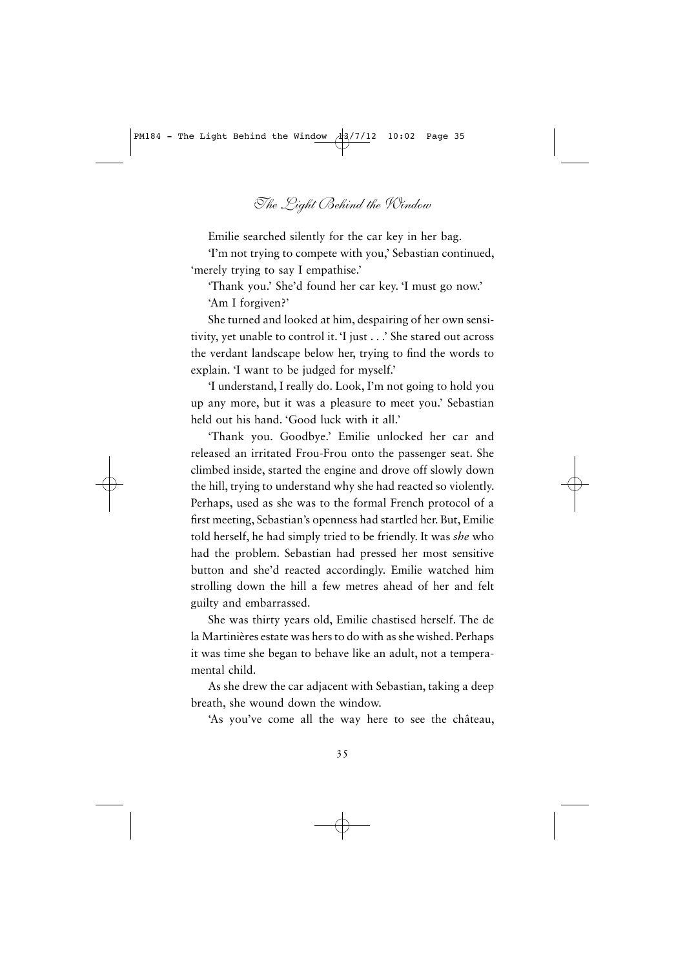Emilie searched silently for the car key in her bag.

'I'm not trying to compete with you,' Sebastian continued, 'merely trying to say I empathise.'

'Thank you.' She'd found her car key. 'I must go now.' 'Am I forgiven?'

She turned and looked at him, despairing of her own sensitivity, yet unable to control it. 'I just . . .' She stared out across the verdant landscape below her, trying to find the words to explain. 'I want to be judged for myself.'

'I understand, I really do. Look, I'm not going to hold you up any more, but it was a pleasure to meet you.' Sebastian held out his hand. 'Good luck with it all.'

'Thank you. Goodbye.' Emilie unlocked her car and released an irritated Frou-Frou onto the passenger seat. She climbed inside, started the engine and drove off slowly down the hill, trying to understand why she had reacted so violently. Perhaps, used as she was to the formal French protocol of a first meeting, Sebastian's openness had startled her. But, Emilie told herself, he had simply tried to be friendly. It was *she* who had the problem. Sebastian had pressed her most sensitive button and she'd reacted accordingly. Emilie watched him strolling down the hill a few metres ahead of her and felt guilty and embarrassed.

She was thirty years old, Emilie chastised herself. The de la Martinières estate was hers to do with as she wished. Perhaps it was time she began to behave like an adult, not a temperamental child.

As she drew the car adjacent with Sebastian, taking a deep breath, she wound down the window.

'As you've come all the way here to see the château,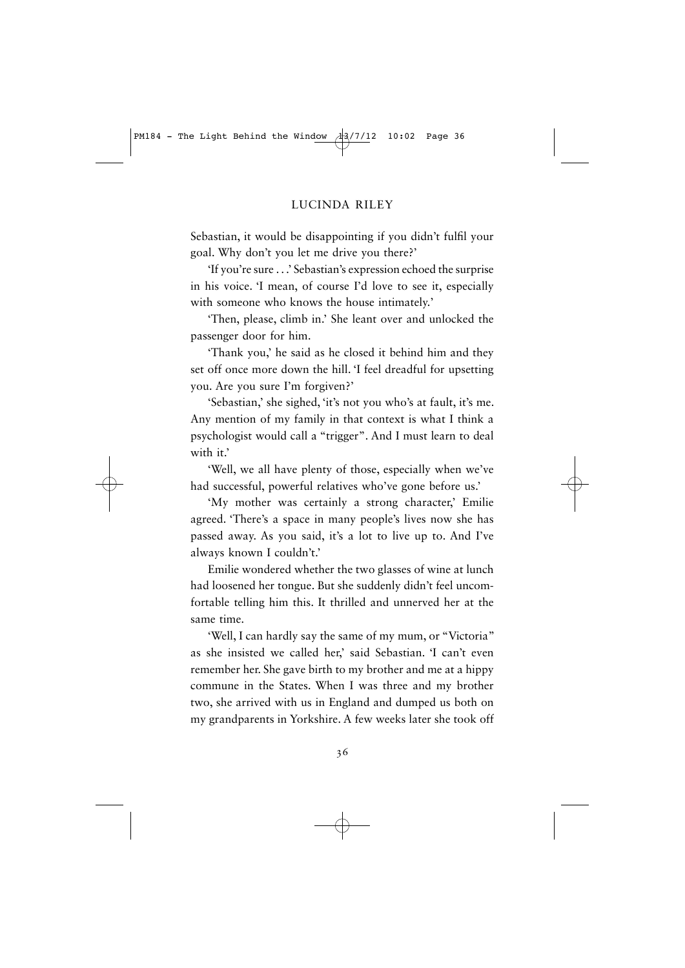Sebastian, it would be disappointing if you didn't fulfil your goal. Why don't you let me drive you there?'

'If you're sure . . .' Sebastian's expression echoed the surprise in his voice. 'I mean, of course I'd love to see it, especially with someone who knows the house intimately.'

'Then, please, climb in.' She leant over and unlocked the passenger door for him.

'Thank you,' he said as he closed it behind him and they set off once more down the hill. 'I feel dreadful for upsetting you. Are you sure I'm forgiven?'

'Sebastian,' she sighed, 'it's not you who's at fault, it's me. Any mention of my family in that context is what I think a psychologist would call a "trigger". And I must learn to deal with it'

'Well, we all have plenty of those, especially when we've had successful, powerful relatives who've gone before us.'

'My mother was certainly a strong character,' Emilie agreed. 'There's a space in many people's lives now she has passed away. As you said, it's a lot to live up to. And I've always known I couldn't.'

Emilie wondered whether the two glasses of wine at lunch had loosened her tongue. But she suddenly didn't feel uncomfortable telling him this. It thrilled and unnerved her at the same time.

'Well, I can hardly say the same of my mum, or "Victoria" as she insisted we called her,' said Sebastian. 'I can't even remember her. She gave birth to my brother and me at a hippy commune in the States. When I was three and my brother two, she arrived with us in England and dumped us both on my grandparents in Yorkshire. A few weeks later she took off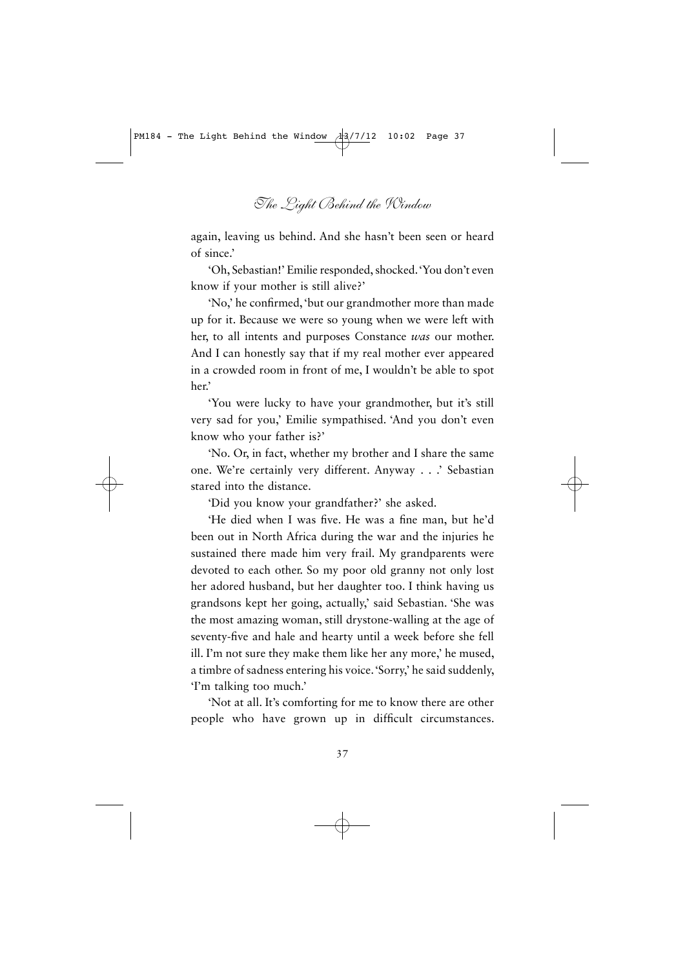again, leaving us behind. And she hasn't been seen or heard of since.'

'Oh, Sebastian!' Emilie responded, shocked. 'You don't even know if your mother is still alive?'

'No,' he confirmed, 'but our grandmother more than made up for it. Because we were so young when we were left with her, to all intents and purposes Constance *was* our mother. And I can honestly say that if my real mother ever appeared in a crowded room in front of me, I wouldn't be able to spot her.'

'You were lucky to have your grandmother, but it's still very sad for you,' Emilie sympathised. 'And you don't even know who your father is?'

'No. Or, in fact, whether my brother and I share the same one. We're certainly very different. Anyway . . .' Sebastian stared into the distance.

'Did you know your grandfather?' she asked.

'He died when I was five. He was a fine man, but he'd been out in North Africa during the war and the injuries he sustained there made him very frail. My grandparents were devoted to each other. So my poor old granny not only lost her adored husband, but her daughter too. I think having us grandsons kept her going, actually,' said Sebastian. 'She was the most amazing woman, still drystone-walling at the age of seventy-five and hale and hearty until a week before she fell ill. I'm not sure they make them like her any more,' he mused, a timbre of sadness entering his voice. 'Sorry,' he said suddenly, 'I'm talking too much.'

'Not at all. It's comforting for me to know there are other people who have grown up in difficult circumstances.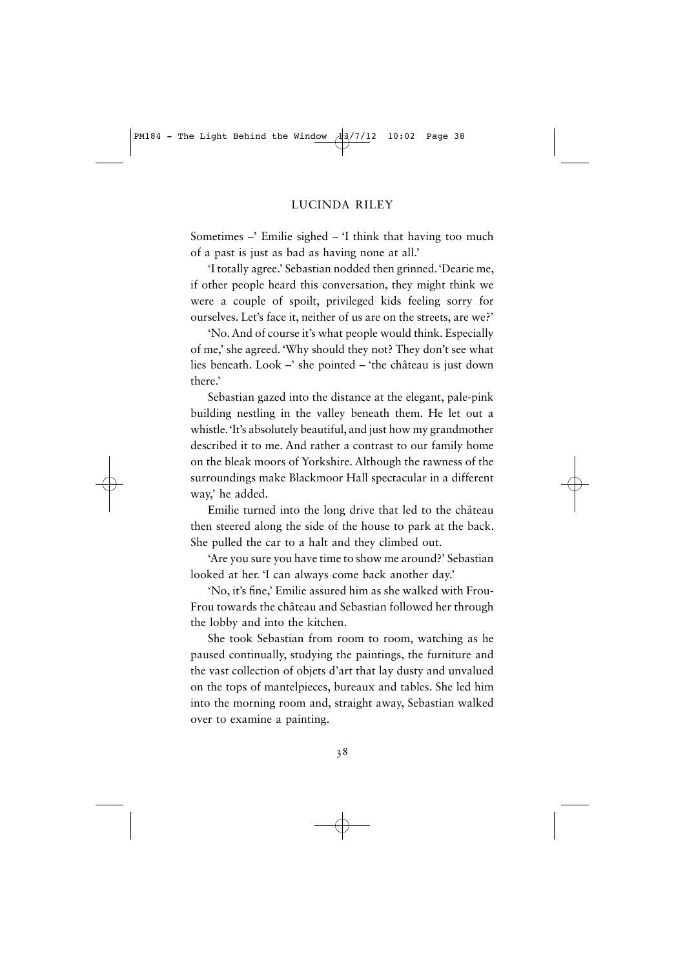Sometimes –' Emilie sighed – 'I think that having too much of a past is just as bad as having none at all.'

'I totally agree.' Sebastian nodded then grinned. 'Dearie me, if other people heard this conversation, they might think we were a couple of spoilt, privileged kids feeling sorry for ourselves. Let's face it, neither of us are on the streets, are we?'

'No. And of course it's what people would think. Especially of me,' she agreed. 'Why should they not? They don't see what lies beneath. Look –' she pointed – 'the château is just down there.'

Sebastian gazed into the distance at the elegant, pale-pink building nestling in the valley beneath them. He let out a whistle. It's absolutely beautiful, and just how my grandmother described it to me. And rather a contrast to our family home on the bleak moors of Yorkshire. Although the rawness of the surroundings make Blackmoor Hall spectacular in a different way,' he added.

Emilie turned into the long drive that led to the château then steered along the side of the house to park at the back. She pulled the car to a halt and they climbed out.

'Are you sure you have time to show me around?' Sebastian looked at her. 'I can always come back another day.'

'No, it's fine,' Emilie assured him as she walked with Frou-Frou towards the château and Sebastian followed her through the lobby and into the kitchen.

She took Sebastian from room to room, watching as he paused continually, studying the paintings, the furniture and the vast collection of objets d'art that lay dusty and unvalued on the tops of mantelpieces, bureaux and tables. She led him into the morning room and, straight away, Sebastian walked over to examine a painting.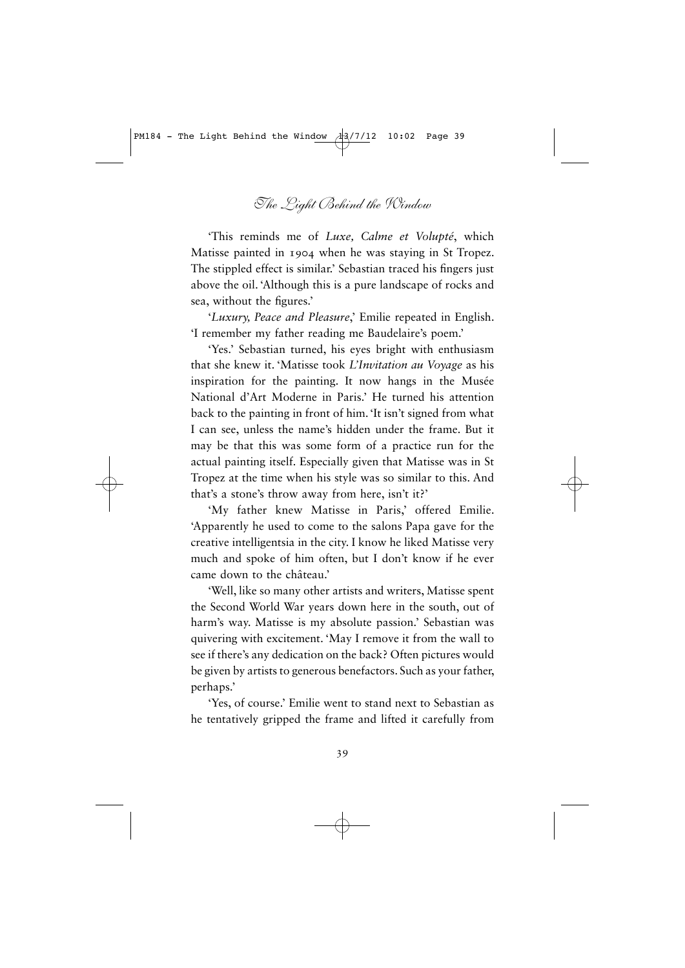'This reminds me of *Luxe, Calme et Volupté*, which Matisse painted in 1904 when he was staying in St Tropez. The stippled effect is similar.' Sebastian traced his fingers just above the oil. 'Although this is a pure landscape of rocks and sea, without the figures.'

'*Luxury, Peace and Pleasure*,' Emilie repeated in English. 'I remember my father reading me Baudelaire's poem.'

'Yes.' Sebastian turned, his eyes bright with enthusiasm that she knew it. 'Matisse took *L'Invitation au Voyage* as his inspiration for the painting. It now hangs in the Musée National d'Art Moderne in Paris.' He turned his attention back to the painting in front of him. 'It isn't signed from what I can see, unless the name's hidden under the frame. But it may be that this was some form of a practice run for the actual painting itself. Especially given that Matisse was in St Tropez at the time when his style was so similar to this. And that's a stone's throw away from here, isn't it?'

'My father knew Matisse in Paris,' offered Emilie. 'Apparently he used to come to the salons Papa gave for the creative intelligentsia in the city. I know he liked Matisse very much and spoke of him often, but I don't know if he ever came down to the château.'

'Well, like so many other artists and writers, Matisse spent the Second World War years down here in the south, out of harm's way. Matisse is my absolute passion.' Sebastian was quivering with excitement. 'May I remove it from the wall to see if there's any dedication on the back? Often pictures would be given by artists to generous benefactors. Such as your father, perhaps.'

'Yes, of course.' Emilie went to stand next to Sebastian as he tentatively gripped the frame and lifted it carefully from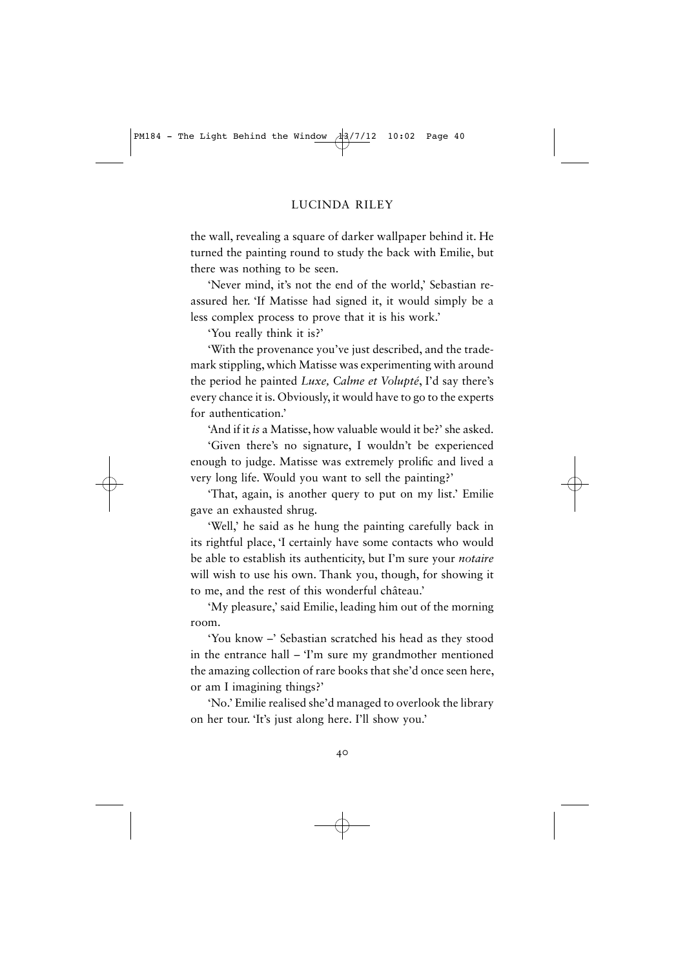the wall, revealing a square of darker wallpaper behind it. He turned the painting round to study the back with Emilie, but there was nothing to be seen.

'Never mind, it's not the end of the world,' Sebastian reassured her. 'If Matisse had signed it, it would simply be a less complex process to prove that it is his work.'

'You really think it is?'

'With the provenance you've just described, and the trademark stippling, which Matisse was experimenting with around the period he painted *Luxe, Calme et Volupté*, I'd say there's every chance it is. Obviously, it would have to go to the experts for authentication.'

'And if it *is* a Matisse, how valuable would it be?' she asked.

'Given there's no signature, I wouldn't be experienced enough to judge. Matisse was extremely prolific and lived a very long life. Would you want to sell the painting?'

'That, again, is another query to put on my list.' Emilie gave an exhausted shrug.

'Well,' he said as he hung the painting carefully back in its rightful place, 'I certainly have some contacts who would be able to establish its authenticity, but I'm sure your *notaire* will wish to use his own. Thank you, though, for showing it to me, and the rest of this wonderful château.'

'My pleasure,' said Emilie, leading him out of the morning room.

'You know –' Sebastian scratched his head as they stood in the entrance hall – 'I'm sure my grandmother mentioned the amazing collection of rare books that she'd once seen here, or am I imagining things?'

'No.' Emilie realised she'd managed to overlook the library on her tour. 'It's just along here. I'll show you.'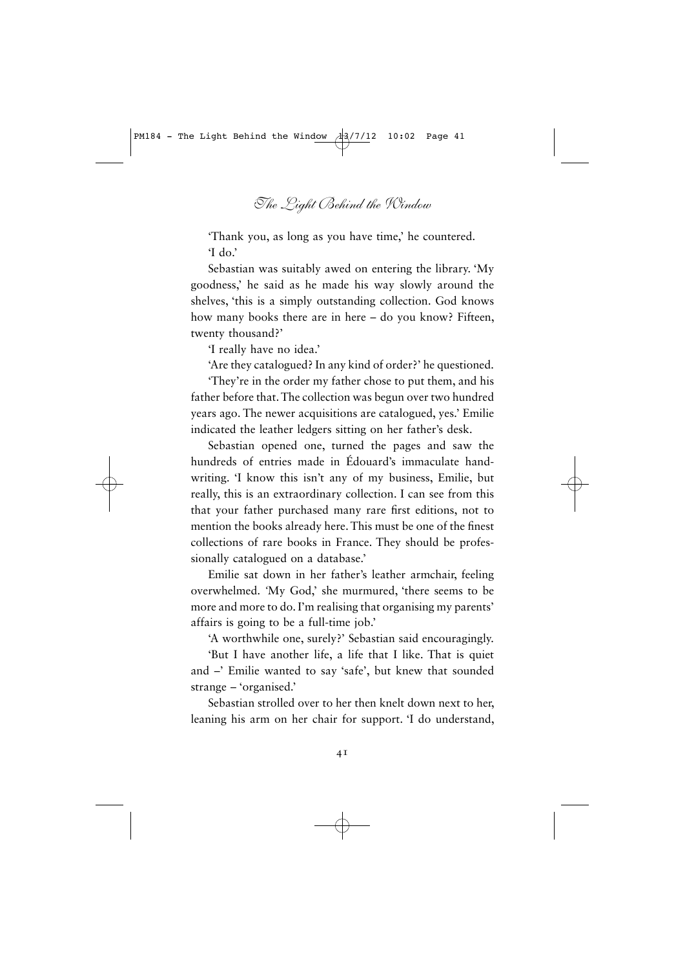'Thank you, as long as you have time,' he countered. 'I do.'

Sebastian was suitably awed on entering the library. 'My goodness,' he said as he made his way slowly around the shelves, 'this is a simply outstanding collection. God knows how many books there are in here – do you know? Fifteen, twenty thousand?'

'I really have no idea.'

'Are they catalogued? In any kind of order?' he questioned.

'They're in the order my father chose to put them, and his father before that. The collection was begun over two hundred years ago. The newer acquisitions are catalogued, yes.' Emilie indicated the leather ledgers sitting on her father's desk.

Sebastian opened one, turned the pages and saw the hundreds of entries made in Édouard's immaculate handwriting. 'I know this isn't any of my business, Emilie, but really, this is an extraordinary collection. I can see from this that your father purchased many rare first editions, not to mention the books already here. This must be one of the finest collections of rare books in France. They should be professionally catalogued on a database.'

Emilie sat down in her father's leather armchair, feeling overwhelmed. *'*My God,' she murmured, 'there seems to be more and more to do. I'm realising that organising my parents' affairs is going to be a full-time job.'

'A worthwhile one, surely?' Sebastian said encouragingly.

'But I have another life, a life that I like. That is quiet and –' Emilie wanted to say 'safe', but knew that sounded strange – 'organised.'

Sebastian strolled over to her then knelt down next to her, leaning his arm on her chair for support. 'I do understand,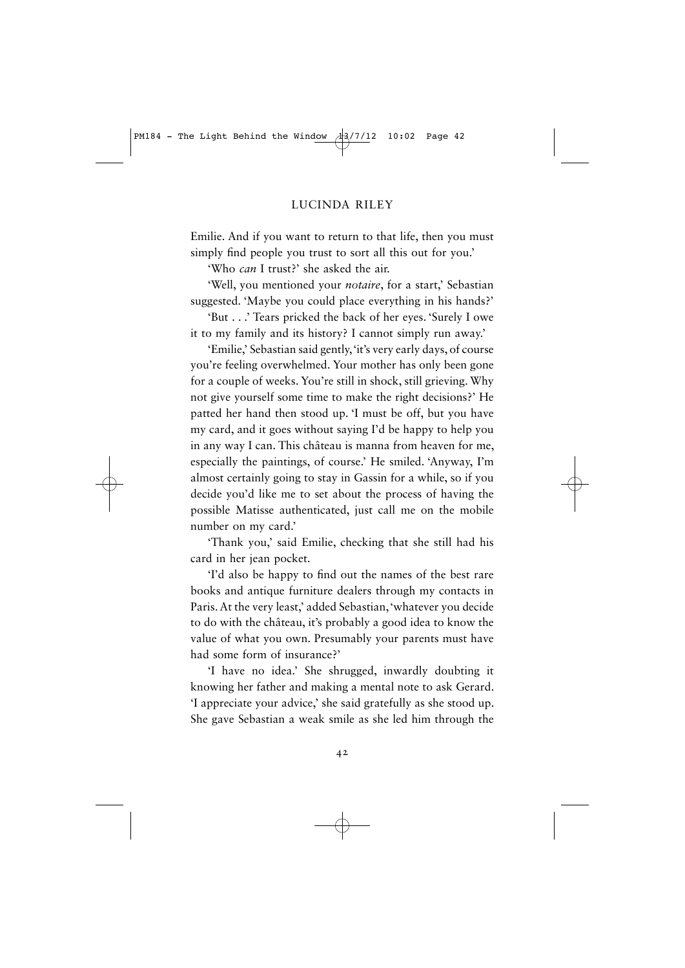Emilie. And if you want to return to that life, then you must simply find people you trust to sort all this out for you.'

'Who *can* I trust?' she asked the air.

'Well, you mentioned your *notaire*, for a start,' Sebastian suggested. 'Maybe you could place everything in his hands?'

'But . . .' Tears pricked the back of her eyes. 'Surely I owe it to my family and its history? I cannot simply run away.'

'Emilie,' Sebastian said gently, 'it's very early days, of course you're feeling overwhelmed. Your mother has only been gone for a couple of weeks. You're still in shock, still grieving. Why not give yourself some time to make the right decisions?' He patted her hand then stood up. 'I must be off, but you have my card, and it goes without saying I'd be happy to help you in any way I can. This château is manna from heaven for me, especially the paintings, of course.' He smiled. 'Anyway, I'm almost certainly going to stay in Gassin for a while, so if you decide you'd like me to set about the process of having the possible Matisse authenticated, just call me on the mobile number on my card.'

'Thank you,' said Emilie, checking that she still had his card in her jean pocket.

'I'd also be happy to find out the names of the best rare books and antique furniture dealers through my contacts in Paris. At the very least,' added Sebastian, 'whatever you decide to do with the château, it's probably a good idea to know the value of what you own. Presumably your parents must have had some form of insurance?'

'I have no idea.' She shrugged, inwardly doubting it knowing her father and making a mental note to ask Gerard. 'I appreciate your advice,' she said gratefully as she stood up. She gave Sebastian a weak smile as she led him through the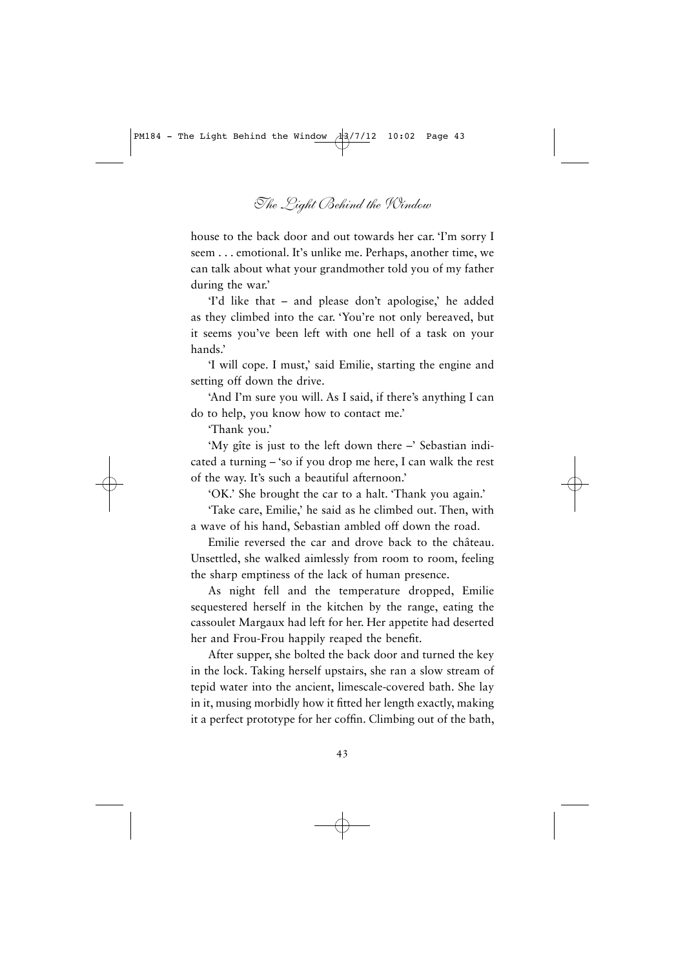house to the back door and out towards her car. 'I'm sorry I seem . . . emotional. It's unlike me. Perhaps, another time, we can talk about what your grandmother told you of my father during the war.'

'I'd like that – and please don't apologise,' he added as they climbed into the car. 'You're not only bereaved, but it seems you've been left with one hell of a task on your hands.'

'I will cope. I must,' said Emilie, starting the engine and setting off down the drive.

'And I'm sure you will. As I said, if there's anything I can do to help, you know how to contact me.'

'Thank you.'

'My gîte is just to the left down there –' Sebastian indicated a turning – 'so if you drop me here, I can walk the rest of the way. It's such a beautiful afternoon.'

'OK.' She brought the car to a halt. 'Thank you again.'

'Take care, Emilie,' he said as he climbed out. Then, with a wave of his hand, Sebastian ambled off down the road.

Emilie reversed the car and drove back to the château. Unsettled, she walked aimlessly from room to room, feeling the sharp emptiness of the lack of human presence.

As night fell and the temperature dropped, Emilie sequestered herself in the kitchen by the range, eating the cassoulet Margaux had left for her. Her appetite had deserted her and Frou-Frou happily reaped the benefit.

After supper, she bolted the back door and turned the key in the lock. Taking herself upstairs, she ran a slow stream of tepid water into the ancient, limescale-covered bath. She lay in it, musing morbidly how it fitted her length exactly, making it a perfect prototype for her coffin. Climbing out of the bath,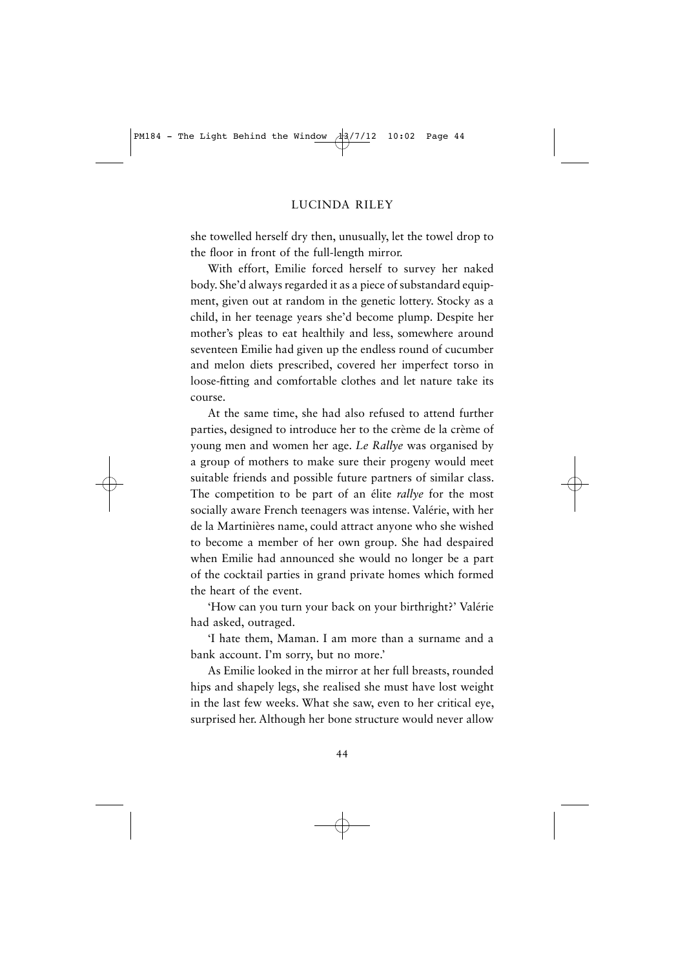she towelled herself dry then, unusually, let the towel drop to the floor in front of the full-length mirror.

With effort, Emilie forced herself to survey her naked body. She'd always regarded it as a piece of substandard equipment, given out at random in the genetic lottery. Stocky as a child, in her teenage years she'd become plump. Despite her mother's pleas to eat healthily and less, somewhere around seventeen Emilie had given up the endless round of cucumber and melon diets prescribed, covered her imperfect torso in loose-fitting and comfortable clothes and let nature take its course.

At the same time, she had also refused to attend further parties, designed to introduce her to the crème de la crème of young men and women her age. *Le Rallye* was organised by a group of mothers to make sure their progeny would meet suitable friends and possible future partners of similar class. The competition to be part of an élite *rallye* for the most socially aware French teenagers was intense. Valérie, with her de la Martinières name, could attract anyone who she wished to become a member of her own group. She had despaired when Emilie had announced she would no longer be a part of the cocktail parties in grand private homes which formed the heart of the event.

'How can you turn your back on your birthright?' Valérie had asked, outraged.

'I hate them, Maman. I am more than a surname and a bank account. I'm sorry, but no more.'

As Emilie looked in the mirror at her full breasts, rounded hips and shapely legs, she realised she must have lost weight in the last few weeks. What she saw, even to her critical eye, surprised her. Although her bone structure would never allow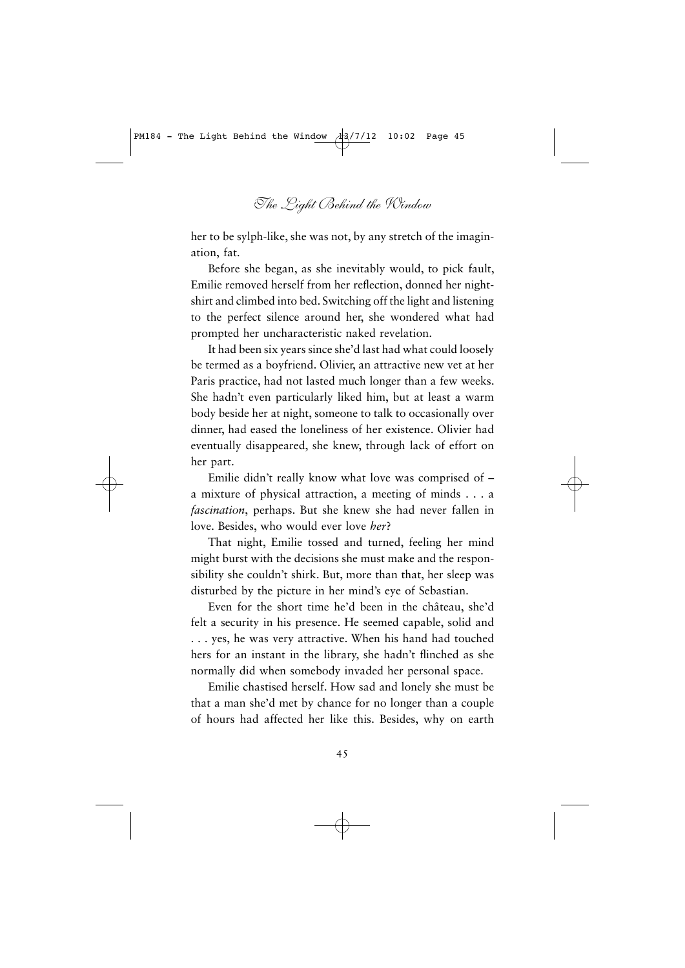her to be sylph-like, she was not, by any stretch of the imagination, fat.

Before she began, as she inevitably would, to pick fault, Emilie removed herself from her reflection, donned her nightshirt and climbed into bed. Switching off the light and listening to the perfect silence around her, she wondered what had prompted her uncharacteristic naked revelation.

It had been six years since she'd last had what could loosely be termed as a boyfriend. Olivier, an attractive new vet at her Paris practice, had not lasted much longer than a few weeks. She hadn't even particularly liked him, but at least a warm body beside her at night, someone to talk to occasionally over dinner, had eased the loneliness of her existence. Olivier had eventually disappeared, she knew, through lack of effort on her part.

Emilie didn't really know what love was comprised of – a mixture of physical attraction, a meeting of minds . . . a *fascination*, perhaps. But she knew she had never fallen in love. Besides, who would ever love *her*?

That night, Emilie tossed and turned, feeling her mind might burst with the decisions she must make and the responsibility she couldn't shirk. But, more than that, her sleep was disturbed by the picture in her mind's eye of Sebastian.

Even for the short time he'd been in the château, she'd felt a security in his presence. He seemed capable, solid and . . . yes, he was very attractive. When his hand had touched hers for an instant in the library, she hadn't flinched as she normally did when somebody invaded her personal space.

Emilie chastised herself. How sad and lonely she must be that a man she'd met by chance for no longer than a couple of hours had affected her like this. Besides, why on earth